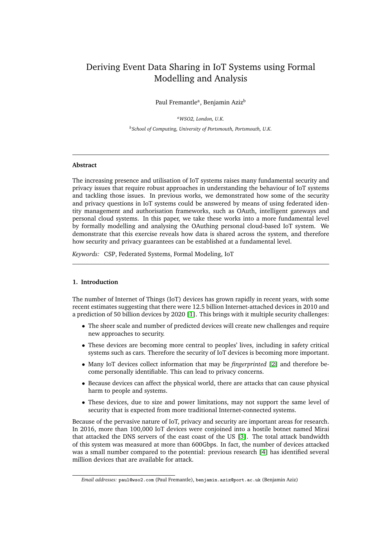# <span id="page-0-0"></span>Deriving Event Data Sharing in IoT Systems using Formal Modelling and Analysis

Paul Fremantle<sup>a</sup>, Benjamin Aziz<sup>b</sup>

*<sup>a</sup>WSO2, London, U.K.*

*<sup>b</sup>School of Computing, University of Portsmouth, Portsmouth, U.K.*

# **Abstract**

The increasing presence and utilisation of IoT systems raises many fundamental security and privacy issues that require robust approaches in understanding the behaviour of IoT systems and tackling those issues. In previous works, we demonstrated how some of the security and privacy questions in IoT systems could be answered by means of using federated identity management and authorisation frameworks, such as OAuth, intelligent gateways and personal cloud systems. In this paper, we take these works into a more fundamental level by formally modelling and analysing the OAuthing personal cloud-based IoT system. We demonstrate that this exercise reveals how data is shared across the system, and therefore how security and privacy guarantees can be established at a fundamental level.

*Keywords:* CSP, Federated Systems, Formal Modeling, IoT

# **1. Introduction**

The number of Internet of Things (IoT) devices has grown rapidly in recent years, with some recent estimates suggesting that there were 12.5 billion Internet-attached devices in 2010 and a prediction of 50 billion devices by 2020 [\[1\]](#page-28-0). This brings with it multiple security challenges:

- The sheer scale and number of predicted devices will create new challenges and require new approaches to security.
- These devices are becoming more central to peoples' lives, including in safety critical systems such as cars. Therefore the security of IoT devices is becoming more important.
- Many IoT devices collect information that may be *fingerprinted* [\[2\]](#page-28-1) and therefore become personally identifiable. This can lead to privacy concerns.
- Because devices can affect the physical world, there are attacks that can cause physical harm to people and systems.
- These devices, due to size and power limitations, may not support the same level of security that is expected from more traditional Internet-connected systems.

Because of the pervasive nature of IoT, privacy and security are important areas for research. In 2016, more than 100,000 IoT devices were conjoined into a hostile botnet named Mirai that attacked the DNS servers of the east coast of the US [\[3\]](#page-28-2). The total attack bandwidth of this system was measured at more than 600Gbps. In fact, the number of devices attacked was a small number compared to the potential: previous research [\[4\]](#page-28-3) has identified several million devices that are available for attack.

*Email addresses:* paul@wso2.com (Paul Fremantle), benjamin.aziz@port.ac.uk (Benjamin Aziz)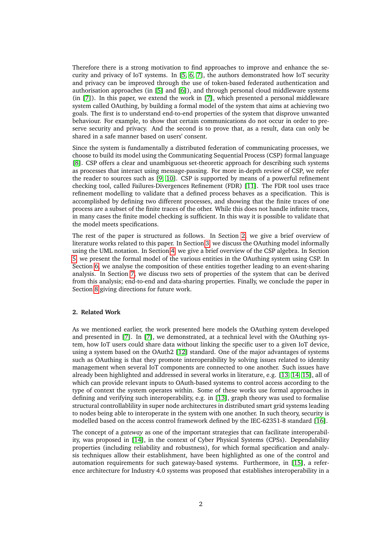Therefore there is a strong motivation to find approaches to improve and enhance the security and privacy of IoT systems. In [\[5,](#page-28-4) [6,](#page-29-0) [7\]](#page-29-1), the authors demonstrated how IoT security and privacy can be improved through the use of token-based federated authentication and authorisation approaches (in [\[5\]](#page-28-4) and [\[6\]](#page-29-0)), and through personal cloud middleware systems (in [\[7\]](#page-29-1)). In this paper, we extend the work in [\[7\]](#page-29-1), which presented a personal middleware system called OAuthing, by building a formal model of the system that aims at achieving two goals. The first is to understand end-to-end properties of the system that disprove unwanted behaviour. For example, to show that certain communications do not occur in order to preserve security and privacy. And the second is to prove that, as a result, data can only be shared in a safe manner based on users' consent.

Since the system is fundamentally a distributed federation of communicating processes, we choose to build its model using the Communicating Sequential Process (CSP) formal language [\[8\]](#page-29-2). CSP offers a clear and unambiguous set-theoretic approach for describing such systems as processes that interact using message-passing. For more in-depth review of CSP, we refer the reader to sources such as [\[9,](#page-29-3) [10\]](#page-29-4). CSP is supported by means of a powerful refinement checking tool, called Failures-Divergences Refinement (FDR) [\[11\]](#page-29-5). The FDR tool uses trace refinement modelling to validate that a defined process behaves as a specification. This is accomplished by defining two different processes, and showing that the finite traces of one process are a subset of the finite traces of the other. While this does not handle infinite traces, in many cases the finite model checking is sufficient. In this way it is possible to validate that the model meets specifications.

The rest of the paper is structured as follows. In Section [2,](#page-1-0) we give a brief overview of literature works related to this paper. In Section [3,](#page-2-0) we discuss the OAuthing model informally using the UML notation. In Section [4,](#page-7-0) we give a brief overview of the CSP algebra. In Section [5,](#page-10-0) we present the formal model of the various entities in the OAuthing system using CSP. In Section [6,](#page-20-0) we analyse the composition of these entities together leading to an event-sharing analysis. In Section [7,](#page-24-0) we discuss two sets of properties of the system that can be derived from this analysis; end-to-end and data-sharing properties. Finally, we conclude the paper in Section [8](#page-28-5) giving directions for future work.

# <span id="page-1-0"></span>**2. Related Work**

As we mentioned earlier, the work presented here models the OAuthing system developed and presented in [\[7\]](#page-29-1). In [\[7\]](#page-29-1), we demonstrated, at a technical level with the OAuthing system, how IoT users could share data without linking the specific user to a given IoT device, using a system based on the OAuth2 [\[12\]](#page-29-6) standard. One of the major advantages of systems such as OAuthing is that they promote interoperability by solving issues related to identity management when several IoT components are connected to one another. Such issues have already been highlighted and addressed in several works in literature, e.g. [\[13,](#page-29-7) [14,](#page-29-8) [15\]](#page-29-9), all of which can provide relevant inputs to OAuth-based systems to control access according to the type of context the system operates within. Some of these works use formal approaches in defining and verifying such interoperability, e.g. in [\[13\]](#page-29-7), graph theory was used to formalise structural controllablility in super node architectures in distributed smart grid systems leading to nodes being able to interoperate in the system with one another. In such theory, security is modelled based on the access control framework defined by the IEC-62351-8 standard [\[16\]](#page-29-10).

The concept of a *gateway* as one of the important strategies that can facilitate interoperability, was proposed in [\[14\]](#page-29-8), in the context of Cyber Physical Systems (CPSs). Dependability properties (including reliability and robustness), for which formal specification and analysis techniques allow their establishment, have been highlighted as one of the control and automation requirements for such gateway-based systems. Furthermore, in [\[15\]](#page-29-9), a reference architecture for Industry 4.0 systems was proposed that establishes interoperability in a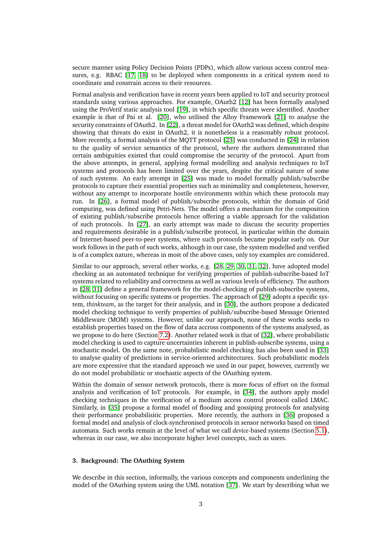secure manner using Policy Decision Points (PDPs), which allow various access control measures, e.g. RBAC [\[17,](#page-29-11) [18\]](#page-29-12) to be deployed when components in a critical system need to coordinate and constrain access to their resources.

Formal analysis and verification have in recent years been applied to IoT and security protocol standards using various approaches. For example, OAuth2 [\[12\]](#page-29-6) has been formally analysed using the ProVerif static analysis tool [\[19\]](#page-29-13), in which specific threats were identified. Another example is that of Pai et al. [\[20\]](#page-29-14), who utilised the Alloy Framework [\[21\]](#page-29-15) to analyse the security constraints of OAuth2. In [\[22\]](#page-29-16), a threat model for OAuth2 was defined, which despite showing that threats do exist in OAuth2, it is nonetheless is a reasonably robust protocol. More recently, a formal analysis of the MQTT protocol [\[23\]](#page-29-17) was conducted in [\[24\]](#page-30-0) in relation to the quality of service semantics of the protocol, where the authors demonstrated that certain ambiguities existed that could compromise the security of the protocol. Apart from the above attempts, in general, applying formal modelling and analysis techniques to IoT systems and protocols has been limited over the years, despite the critical nature of some of such systems. An early attempt in [\[25\]](#page-30-1) was made to model formally publish/subscribe protocols to capture their essential properties such as minimality and completeness, however, without any attempt to incorporate hostile environments within which these protocols may run. In [\[26\]](#page-30-2), a formal model of publish/subscribe protocols, within the domain of Grid computing, was defined using Petri-Nets. The model offers a mechanism for the composition of existing publish/subscribe protocols hence offering a viable approach for the validation of such protocols. In [\[27\]](#page-30-3), an early attempt was made to discuss the security properties and requirements desirable in a publish/subscribe protocol, in particular within the domain of Internet-based peer-to-peer systems, where such protocols became popular early on. Our work follows in the path of such works, although in our case, the system modelled and verified is of a complex nature, whereas in most of the above cases, only toy examples are considered.

Similar to our approach, several other works, e.g. [\[28,](#page-30-4) [29,](#page-30-5) [30,](#page-30-6) [31,](#page-30-7) [32\]](#page-30-8), have adopted model checking as an automated technique for verifying properties of publish-subscribe-based IoT systems related to reliability and correctness as well as various levels of efficiency. The authors in [\[28,](#page-30-4) [31\]](#page-30-7) define a general framework for the model-checking of publish-subscribe systems, without focusing on specific systems or properties. The approach of [\[29\]](#page-30-5) adopts a specific system, *thinkteam*, as the target for their analysis, and in [\[30\]](#page-30-6), the authors propose a dedicated model checking technique to verify properties of publish/subscribe-based Message Oriented Middleware (MOM) systems. However, unlike our approach, none of these works seeks to establish properties based on the flow of data accross components of the systems analysed, as we propose to do here (Section [7.2\)](#page-27-0). Another related work is that of [\[32\]](#page-30-8), where probabilistic model checking is used to capture uncertainties inherent in publish-subscribe systems, using a stochastic model. On the same note, probabilistic model checking has also been used in [\[33\]](#page-30-9) to analyse quality of predictions in service-oriented architectures. Such probabilistic models are more expressive that the standard approach we used in our paper, however, currently we do not model probabilistic or stochastic aspects of the OAuthing system.

Within the domain of sensor network protocols, there is more focus of effort on the formal analysis and verification of IoT protocols. For example, in [\[34\]](#page-30-10), the authors apply model checking techniques in the verification of a medium access control protocol called LMAC. Similarly, in [\[35\]](#page-30-11) propose a formal model of flooding and gossiping protocols for analysing their performance probabilisitic properties. More recently, the authors in [\[36\]](#page-30-12) proposed a formal model and analysis of clock-synchronised protocols in sensor networks based on timed automata. Such works remain at the level of what we call *device*-based systems (Section [5.1\)](#page-10-1), whereas in our case, we also incorporate higher level concepts, such as users.

## <span id="page-2-0"></span>**3. Background: The OAuthing System**

We describe in this section, informally, the various concepts and components underlining the model of the OAuthing system using the UML notation [\[37\]](#page-30-13). We start by describing what we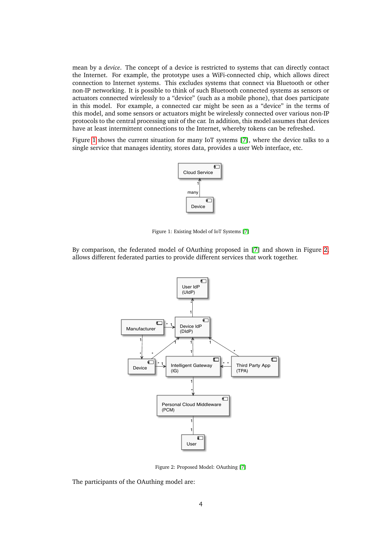mean by a *device*. The concept of a device is restricted to systems that can directly contact the Internet. For example, the prototype uses a WiFi-connected chip, which allows direct connection to Internet systems. This excludes systems that connect via Bluetooth or other non-IP networking. It is possible to think of such Bluetooth connected systems as sensors or actuators connected wirelessly to a "device" (such as a mobile phone), that does participate in this model. For example, a connected car might be seen as a "device" in the terms of this model, and some sensors or actuators might be wirelessly connected over various non-IP protocols to the central processing unit of the car. In addition, this model assumes that devices have at least intermittent connections to the Internet, whereby tokens can be refreshed.

Figure [1](#page-3-0) shows the current situation for many IoT systems [\[7\]](#page-29-1), where the device talks to a single service that manages identity, stores data, provides a user Web interface, etc.



<span id="page-3-0"></span>Figure 1: Existing Model of IoT Systems [\[7\]](#page-29-1)

By comparison, the federated model of OAuthing proposed in [\[7\]](#page-29-1) and shown in Figure [2,](#page-3-1) allows different federated parties to provide different services that work together.



<span id="page-3-1"></span>Figure 2: Proposed Model: OAuthing [\[7\]](#page-29-1)

The participants of the OAuthing model are: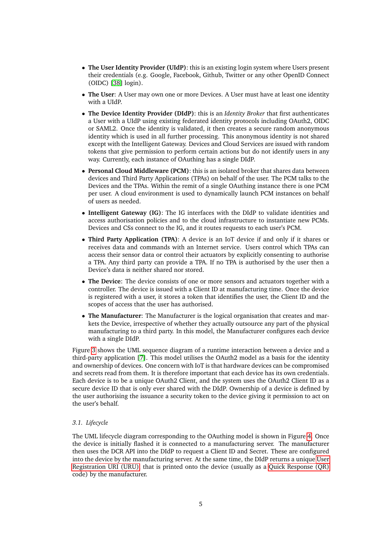- **The User Identity Provider (UIdP)**: this is an existing login system where Users present their credentials (e.g. Google, Facebook, Github, Twitter or any other OpenID Connect (OIDC) [\[38\]](#page-31-0) login).
- **The User**: A User may own one or more Devices. A User must have at least one identity with a UIdP.
- **The Device Identity Provider (DIdP)**: this is an *Identity Broker* that first authenticates a User with a UIdP using existing federated identity protocols including OAuth2, OIDC or SAML2. Once the identity is validated, it then creates a secure random anonymous identity which is used in all further processing. This anonymous identity is not shared except with the Intelligent Gateway. Devices and Cloud Services are issued with random tokens that give permission to perform certain actions but do not identify users in any way. Currently, each instance of OAuthing has a single DIdP.
- **Personal Cloud Middleware (PCM)**: this is an isolated broker that shares data between devices and Third Party Applications (TPAs) on behalf of the user. The PCM talks to the Devices and the TPAs. Within the remit of a single OAuthing instance there is one PCM per user. A cloud environment is used to dynamically launch PCM instances on behalf of users as needed.
- **Intelligent Gateway (IG)**: The IG interfaces with the DIdP to validate identities and access authorisation policies and to the cloud infrastructure to instantiate new PCMs. Devices and CSs connect to the IG, and it routes requests to each user's PCM.
- **Third Party Application (TPA)**: A device is an IoT device if and only if it shares or receives data and commands with an Internet service. Users control which TPAs can access their sensor data or control their actuators by explicitly consenting to authorise a TPA. Any third party can provide a TPA. If no TPA is authorised by the user then a Device's data is neither shared nor stored.
- **The Device**: The device consists of one or more sensors and actuators together with a controller. The device is issued with a Client ID at manufacturing time. Once the device is registered with a user, it stores a token that identifies the user, the Client ID and the scopes of access that the user has authorised.
- **The Manufacturer**: The Manufacturer is the logical organisation that creates and markets the Device, irrespective of whether they actually outsource any part of the physical manufacturing to a third party. In this model, the Manufacturer configures each device with a single DIdP.

Figure [3](#page-5-0) shows the UML sequence diagram of a runtime interaction between a device and a third-party application [\[7\]](#page-29-1). This model utilises the OAuth2 model as a basis for the identity and ownership of devices. One concern with IoT is that hardware devices can be compromised and secrets read from them. It is therefore important that each device has its own credentials. Each device is to be a unique OAuth2 Client, and the system uses the OAuth2 Client ID as a secure device ID that is only ever shared with the DIdP. Ownership of a device is defined by the user authorising the issuance a security token to the device giving it permission to act on the user's behalf.

# *3.1. Lifecycle*

The UML lifecycle diagram corresponding to the OAuthing model is shown in Figure [4.](#page-6-0) Once the device is initially flashed it is connected to a manufacturing server. The manufacturer then uses the DCR API into the DIdP to request a Client ID and Secret. These are configured into the device by the manufacturing server. At the same time, the DIdP returns a unique [User](#page-0-0) [Registration URI \(URU\),](#page-0-0) that is printed onto the device (usually as a [Quick Response \(QR\)](#page-0-0) code) by the manufacturer.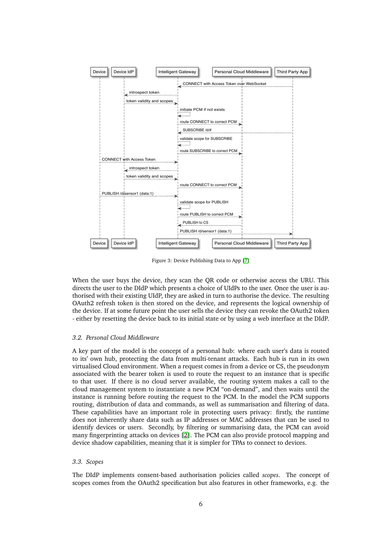

<span id="page-5-0"></span>Figure 3: Device Publishing Data to App [\[7\]](#page-29-1)

When the user buys the device, they scan the QR code or otherwise access the URU. This directs the user to the DIdP which presents a choice of UIdPs to the user. Once the user is authorised with their existing UIdP, they are asked in turn to authorise the device. The resulting OAuth2 refresh token is then stored on the device, and represents the logical ownership of the device. If at some future point the user sells the device they can revoke the OAuth2 token - either by resetting the device back to its initial state or by using a web interface at the DIdP.

#### *3.2. Personal Cloud Middleware*

A key part of the model is the concept of a personal hub: where each user's data is routed to its' own hub, protecting the data from multi-tenant attacks. Each hub is run in its own virtualised Cloud environment. When a request comes in from a device or CS, the pseudonym associated with the bearer token is used to route the request to an instance that is specific to that user. If there is no cloud server available, the routing system makes a call to the cloud management system to instantiate a new PCM "on-demand", and then waits until the instance is running before routing the request to the PCM. In the model the PCM supports routing, distribution of data and commands, as well as summarisation and filtering of data. These capabilities have an important role in protecting users privacy: firstly, the runtime does not inherently share data such as IP addresses or MAC addresses that can be used to identify devices or users. Secondly, by filtering or summarising data, the PCM can avoid many fingerprinting attacks on devices [\[2\]](#page-28-1). The PCM can also provide protocol mapping and device shadow capabilities, meaning that it is simpler for TPAs to connect to devices.

#### *3.3. Scopes*

The DIdP implements consent-based authorisation policies called *scopes*. The concept of scopes comes from the OAuth2 specification but also features in other frameworks, e.g. the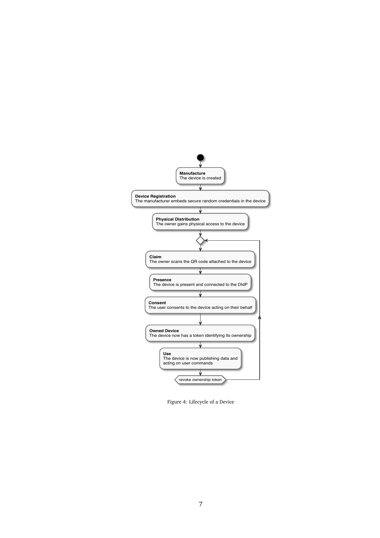

<span id="page-6-0"></span>Figure 4: Lifecycle of a Device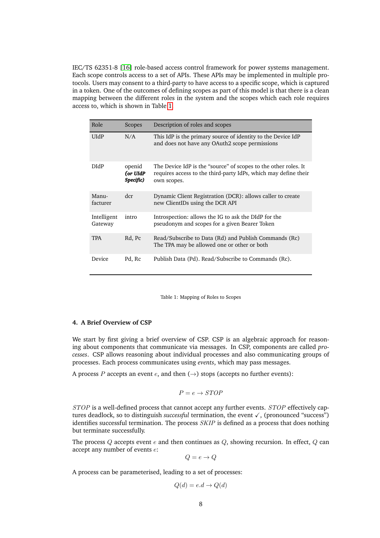IEC/TS 62351-8 [\[16\]](#page-29-10) role-based access control framework for power systems management. Each scope controls access to a set of APIs. These APIs may be implemented in multiple protocols. Users may consent to a third-party to have access to a specific scope, which is captured in a token. One of the outcomes of defining scopes as part of this model is that there is a clean mapping between the different roles in the system and the scopes which each role requires access to, which is shown in Table [1.](#page-7-1)

| Role                   | Scopes                          | Description of roles and scopes                                                                                                                   |
|------------------------|---------------------------------|---------------------------------------------------------------------------------------------------------------------------------------------------|
| UIdP                   | N/A                             | This IdP is the primary source of identity to the Device IdP<br>and does not have any OAuth2 scope permissions                                    |
| DIdP                   | openid<br>(or UIdP<br>Specific) | The Device IdP is the "source" of scopes to the other roles. It<br>requires access to the third-party IdPs, which may define their<br>own scopes. |
| Manu-<br>facturer      | der                             | Dynamic Client Registration (DCR): allows caller to create<br>new ClientIDs using the DCR API                                                     |
| Intelligent<br>Gateway | intro                           | Introspection: allows the IG to ask the DIdP for the<br>pseudonym and scopes for a given Bearer Token                                             |
| TPA                    | Rd, Pc                          | Read/Subscribe to Data (Rd) and Publish Commands (Rc)<br>The TPA may be allowed one or other or both                                              |
| <b>Device</b>          | Pd, Rc                          | Publish Data (Pd). Read/Subscribe to Commands (Rc).                                                                                               |

<span id="page-7-1"></span>Table 1: Mapping of Roles to Scopes

# <span id="page-7-0"></span>**4. A Brief Overview of CSP**

We start by first giving a brief overview of CSP. CSP is an algebraic approach for reasoning about components that communicate via messages. In CSP, components are called *processes*. CSP allows reasoning about individual processes and also communicating groups of processes. Each process communicates using *events*, which may pass messages.

A process  $P$  accepts an event  $e,$  and then  $(\rightarrow)$  stops (accepts no further events):

$$
P = e \rightarrow STOP
$$

STOP is a well-defined process that cannot accept any further events. STOP effectively captures deadlock, so to distinguish *successful* termination, the event  $\checkmark$ , (pronounced "success") identifies successful termination. The process  $SKIP$  is defined as a process that does nothing but terminate successfully.

The process  $Q$  accepts event  $e$  and then continues as  $Q$ , showing recursion. In effect,  $Q$  can accept any number of events e:

$$
Q = e \rightarrow Q
$$

A process can be parameterised, leading to a set of processes:

$$
Q(d) = e.d \to Q(d)
$$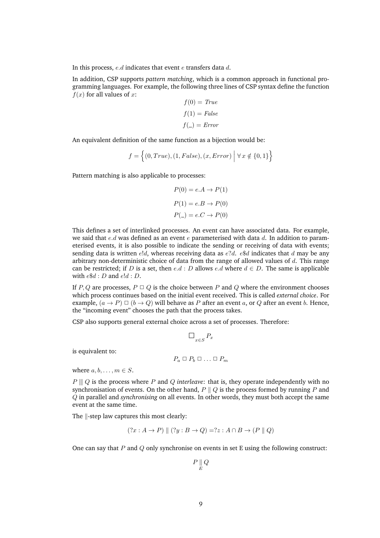In this process,  $e.d$  indicates that event  $e$  transfers data  $d.$ 

In addition, CSP supports *pattern matching*, which is a common approach in functional programming languages. For example, the following three lines of CSP syntax define the function  $f(x)$  for all values of x:

$$
f(0) = True
$$
  

$$
f(1) = False
$$
  

$$
f(\_) = Error
$$

An equivalent definition of the same function as a bijection would be:

$$
f = \{(0, True), (1, False), (x, Error) \mid \forall x \notin \{0, 1\}\}
$$

Pattern matching is also applicable to processes:

$$
P(0) = e.A \rightarrow P(1)
$$

$$
P(1) = e.B \rightarrow P(0)
$$

$$
P(.) = e.C \rightarrow P(0)
$$

This defines a set of interlinked processes. An event can have associated data. For example, we said that  $e.d$  was defined as an event  $e$  parameterised with data  $d$ . In addition to parameterised events, it is also possible to indicate the sending or receiving of data with events; sending data is written  $eld$ , whereas receiving data as  $el'd$ .  $el'd$  indicates that d may be any arbitrary non-deterministic choice of data from the range of allowed values of  $d$ . This range can be restricted; if D is a set, then e.d : D allows e.d where  $d \in D$ . The same is applicable with  $e\$ d : D and  $e!d : D$ .

If P, Q are processes,  $P \square Q$  is the choice between P and Q where the environment chooses which process continues based on the initial event received. This is called *external choice*. For example,  $(a \rightarrow P) \square (b \rightarrow Q)$  will behave as P after an event a, or Q after an event b. Hence, the "incoming event" chooses the path that the process takes.

CSP also supports general external choice across a set of processes. Therefore:

$$
\Box_{_{x\in S}}\, P_x
$$

is equivalent to:

$$
P_a \square P_b \square \ldots \square P_m
$$

where  $a, b, \ldots, m \in S$ .

 $P \parallel Q$  is the process where P and Q *interleave*: that is, they operate independently with no synchronisation of events. On the other hand,  $P \parallel Q$  is the process formed by running P and Q in parallel and *synchronising* on all events. In other words, they must both accept the same event at the same time.

The  $\parallel$ -step law captures this most clearly:

$$
(?x:A \to P) \parallel (?y:B \to Q) = ?z:A \cap B \to (P \parallel Q)
$$

One can say that P and Q only synchronise on events in set E using the following construct:

$$
P \mathop{\|}_E Q
$$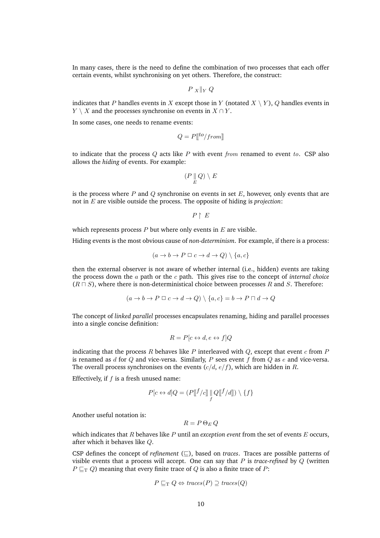In many cases, there is the need to define the combination of two processes that each offer certain events, whilst synchronising on yet others. Therefore, the construct:

$$
P\vert_X\vert_Y\vert_Q
$$

indicates that P handles events in X except those in Y (notated  $X \setminus Y$ ), Q handles events in  $Y \setminus X$  and the processes synchronise on events in  $X \cap Y$ .

In some cases, one needs to rename events:

$$
Q = P[[{}^{to}/from]]
$$

to indicate that the process  $Q$  acts like  $P$  with event from renamed to event to. CSP also allows the *hiding* of events. For example:

$$
(P \parallel Q) \setminus E
$$

is the process where  $P$  and  $Q$  synchronise on events in set  $E$ , however, only events that are not in E are visible outside the process. The opposite of hiding is *projection*:

 $P \upharpoonright E$ 

which represents process  $P$  but where only events in  $E$  are visible.

Hiding events is the most obvious cause of *non-determinism*. For example, if there is a process:

$$
(a \to b \to P \sqcup c \to d \to Q) \setminus \{a, c\}
$$

then the external observer is not aware of whether internal (i.e., hidden) events are taking the process down the a path or the c path. This gives rise to the concept of *internal choice*  $(R \cap S)$ , where there is non-deterministical choice between processes R and S. Therefore:

$$
(a \to b \to P \sqcup c \to d \to Q) \setminus \{a, c\} = b \to P \sqcap d \to Q
$$

The concept of *linked parallel* processes encapsulates renaming, hiding and parallel processes into a single concise definition:

$$
R = P[c \leftrightarrow d, e \leftrightarrow f]Q
$$

indicating that the process R behaves like P interleaved with  $Q$ , except that event c from P is renamed as  $d$  for  $Q$  and vice-versa. Similarly,  $P$  sees event  $f$  from  $Q$  as  $e$  and vice-versa. The overall process synchronises on the events  $(c/d, e/f)$ , which are hidden in R.

Effectively, if  $f$  is a fresh unused name:

$$
P[c \leftrightarrow d]Q = (P[\![f/c]\!] \, \|Q[\![f/d]\!]) \setminus \{f\}
$$

Another useful notation is:

$$
R=P\,\Theta_E\,Q
$$

which indicates that R behaves like P until an *exception event* from the set of events E occurs, after which it behaves like Q.

CSP defines the concept of *refinement*  $(\sqsubseteq)$ , based on *traces*. Traces are possible patterns of visible events that a process will accept. One can say that P is *trace-refined* by Q (written  $P \sqsubseteq_{\text{T}} Q$ ) meaning that every finite trace of Q is also a finite trace of P:

$$
P \sqsubseteq_{\mathrm{T}} Q \Leftrightarrow \mathit{traces}(P) \supseteq \mathit{traces}(Q)
$$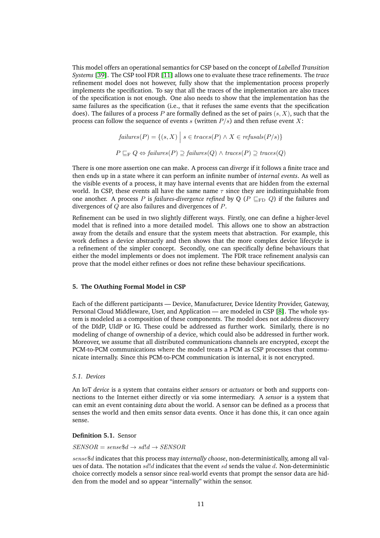This model offers an operational semantics for CSP based on the concept of *Labelled Transition Systems* [\[39\]](#page-31-1). The CSP tool FDR [\[11\]](#page-29-5) allows one to evaluate these trace refinements. The *trace* refinement model does not however, fully show that the implementation process properly implements the specification. To say that all the traces of the implementation are also traces of the specification is not enough. One also needs to show that the implementation has the same failures as the specification (i.e., that it refuses the same events that the specification does). The failures of a process P are formally defined as the set of pairs  $(s, X)$ , such that the process can follow the sequence of events s (written  $P/s$ ) and then refuse event X:

> $failures(P) = \{(s, X) | s \in traces(P) \land X \in refusals(P/s)\}\$  $P \sqsubseteq_{\mathrm{F}} Q \Leftrightarrow \mathrm{failures}(P) \supseteq \mathrm{failures}(Q) \wedge \mathrm{traces}(P) \supseteq \mathrm{traces}(Q)$

There is one more assertion one can make. A process can *diverge* if it follows a finite trace and then ends up in a state where it can perform an infinite number of *internal events*. As well as the visible events of a process, it may have internal events that are hidden from the external world. In CSP, these events all have the same name  $\tau$  since they are indistinguishable from one another. A process P is *failures-divergence refined* by Q ( $P \sqsubset_{FD} Q$ ) if the failures and divergences of  $Q$  are also failures and divergences of  $P$ .

Refinement can be used in two slightly different ways. Firstly, one can define a higher-level model that is refined into a more detailed model. This allows one to show an abstraction away from the details and ensure that the system meets that abstraction. For example, this work defines a device abstractly and then shows that the more complex device lifecycle is a refinement of the simpler concept. Secondly, one can specifically define behaviours that either the model implements or does not implement. The FDR trace refinement analysis can prove that the model either refines or does not refine these behaviour specifications.

# <span id="page-10-0"></span>**5. The OAuthing Formal Model in CSP**

Each of the different participants — Device, Manufacturer, Device Identity Provider, Gateway, Personal Cloud Middleware, User, and Application — are modeled in CSP [\[8\]](#page-29-2). The whole system is modeled as a composition of these components. The model does not address discovery of the DIdP, UIdP or IG. These could be addressed as further work. Similarly, there is no modeling of change of ownership of a device, which could also be addressed in further work. Moreover, we assume that all distributed communications channels are encrypted, except the PCM-to-PCM communications where the model treats a PCM as CSP processes that communicate internally. Since this PCM-to-PCM communication is internal, it is not encrypted.

## <span id="page-10-1"></span>*5.1. Devices*

An IoT *device* is a system that contains either *sensors* or *actuators* or both and supports connections to the Internet either directly or via some intermediary. A *sensor* is a system that can emit an event containing *data* about the world. A sensor can be defined as a process that senses the world and then emits sensor data events. Once it has done this, it can once again sense.

#### **Definition 5.1.** Sensor

# $SENSOR = sense\$ d  $\rightarrow$  sd!d  $\rightarrow$  SENSOR

sense\$d indicates that this process may *internally choose*, non-deterministically, among all values of data. The notation  $\mathfrak{sd}\mathfrak{ld}$  indicates that the event  $\mathfrak{sd}$  sends the value d. Non-deterministic choice correctly models a sensor since real-world events that prompt the sensor data are hidden from the model and so appear "internally" within the sensor.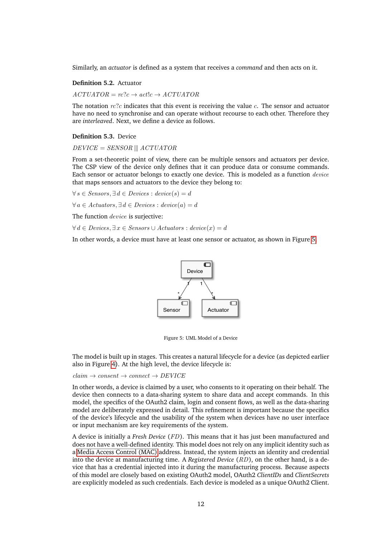Similarly, an *actuator* is defined as a system that receives a *command* and then acts on it.

#### **Definition 5.2.** Actuator

 $ACTUATOR = rc?c \rightarrow act!c \rightarrow ACTUATOR$ 

The notation  $rc?c$  indicates that this event is receiving the value c. The sensor and actuator have no need to synchronise and can operate without recourse to each other. Therefore they are *interleaved*. Next, we define a device as follows.

**Definition 5.3.** Device

 $DEVICE = SENSOR \parallel \text{ACTUATOR}$ 

From a set-theoretic point of view, there can be multiple sensors and actuators per device. The CSP view of the device only defines that it can produce data or consume commands. Each sensor or actuator belongs to exactly one device. This is modeled as a function device that maps sensors and actuators to the device they belong to:

 $\forall s \in Sensors, \exists d \in Devices : device(s) = d$ 

 $\forall a \in \text{Actuators}, \exists d \in \text{Devices} : \text{device}(a) = d$ 

The function *device* is surjective:

 $\forall d \in Devices, \exists x \in Sensors \cup Actuators : device(x) = d$ 

In other words, a device must have at least one sensor or actuator, as shown in Figure [5.](#page-11-0)



<span id="page-11-0"></span>Figure 5: UML Model of a Device

The model is built up in stages. This creates a natural lifecycle for a device (as depicted earlier also in Figure [4\)](#page-6-0). At the high level, the device lifecycle is:

#### $claim \rightarrow consent \rightarrow connect \rightarrow DEVICE$

In other words, a device is claimed by a user, who consents to it operating on their behalf. The device then connects to a data-sharing system to share data and accept commands. In this model, the specifics of the OAuth2 claim, login and consent flows, as well as the data-sharing model are deliberately expressed in detail. This refinement is important because the specifics of the device's lifecycle and the usability of the system when devices have no user interface or input mechanism are key requirements of the system.

A device is initially a *Fresh Device* (FD). This means that it has just been manufactured and does not have a well-defined identity. This model does not rely on any implicit identity such as a [Media Access Control \(MAC\)](#page-0-0) address. Instead, the system injects an identity and credential into the device at manufacturing time. A *Registered Device* (RD), on the other hand, is a device that has a credential injected into it during the manufacturing process. Because aspects of this model are closely based on existing OAuth2 model, OAuth2 *ClientIDs* and *ClientSecrets* are explicitly modeled as such credentials. Each device is modeled as a unique OAuth2 Client.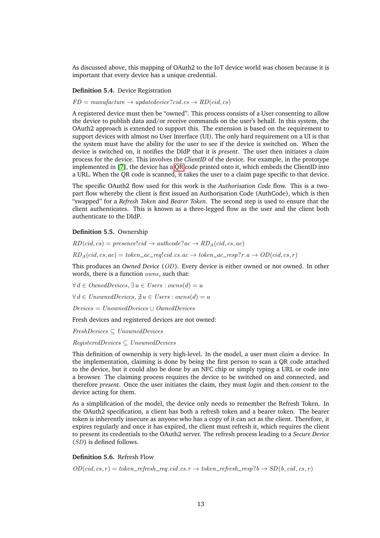As discussed above, this mapping of OAuth2 to the IoT device world was chosen because it is important that every device has a unique credential.

# **Definition 5.4.** Device Registration

# $FD = manufacture \rightarrow update device?cid.cs \rightarrow RD(cid.cs)$

A registered device must then be "owned". This process consists of a User consenting to allow the device to publish data and/or receive commands on the user's behalf. In this system, the OAuth2 approach is extended to support this. The extension is based on the requirement to support devices with almost no User Interface (UI). The only hard requirement on a UI is that the system must have the ability for the user to see if the device is switched on. When the device is switched on, it notifies the DIdP that it is *present*. The user then initiates a *claim* process for the device. This involves the *ClientID* of the device. For example, in the prototype implemented in [\[7\]](#page-29-1), the device has a [QR](#page-0-0) code printed onto it, which embeds the ClientID into a URL. When the QR code is scanned, it takes the user to a claim page specific to that device.

The specific OAuth2 flow used for this work is the *Authorisation Code* flow. This is a twopart flow whereby the client is first issued an Authorisation Code (AuthCode), which is then "swapped" for a *Refresh Token* and *Bearer Token*. The second step is used to ensure that the client authenticates. This is known as a three-legged flow as the user and the client both authenticate to the DIdP.

# **Definition 5.5.** Ownership

 $RD(cid, cs) = presence!cid \rightarrow authcode?ac \rightarrow RD<sub>A</sub>(cid, cs, ac)$ 

 $RD_A(cid, cs, ac) = token\_ac\_req!cid.cs.ac \rightarrow token\_ac\_resp?r.a \rightarrow OD(cid, cs, r)$ 

This produces an *Owned Device* (OD). Every device is either owned or not owned. In other words, there is a function owns, such that:

 $\forall d \in OwnedDevices, \exists u \in Users: owns(d) = u$ 

 $\forall d \in UnownedDevices, \nexists u \in Users: owns(d) = u$ 

Devices = UnownedDevices ∪ OwnedDevices

Fresh devices and registered devices are not owned:

 $FreshDevices \subseteq UnownedDevices$ 

 $RegisteredDevices \subseteq UnownedDevices$ 

This definition of ownership is very high-level. In the model, a user must *claim* a device. In the implementation, claiming is done by being the first person to scan a QR code attached to the device, but it could also be done by an NFC chip or simply typing a URL or code into a browser. The claiming process requires the device to be switched on and connected, and therefore *present*. Once the user initiates the claim, they must *login* and then *consent* to the device acting for them.

As a simplification of the model, the device only needs to remember the Refresh Token. In the OAuth2 specification, a client has both a refresh token and a bearer token. The bearer token is inherently insecure as anyone who has a copy of it can act as the client. Therefore, it expires regularly and once it has expired, the client must refresh it, which requires the client to present its credentials to the OAuth2 server. The refresh process leading to a *Secure Device* (SD) is defined follows.

# **Definition 5.6.** Refresh Flow

 $OD(cid, cs, r) = token\_refresh\_req.cid.cs.r \rightarrow token\_refresh\_resp?b \rightarrow SD(b, cd, cs, r)$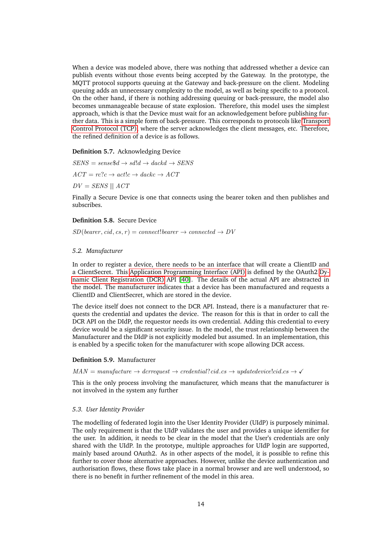When a device was modeled above, there was nothing that addressed whether a device can publish events without those events being accepted by the Gateway. In the prototype, the MQTT protocol supports queuing at the Gateway and back-pressure on the client. Modeling queuing adds an unnecessary complexity to the model, as well as being specific to a protocol. On the other hand, if there is nothing addressing queuing or back-pressure, the model also becomes unmanageable because of state explosion. Therefore, this model uses the simplest approach, which is that the Device must wait for an acknowledgement before publishing further data. This is a simple form of back-pressure. This corresponds to protocols like [Transport](#page-0-0) [Control Protocol \(TCP\),](#page-0-0) where the server acknowledges the client messages, etc. Therefore, the refined definition of a device is as follows.

# <span id="page-13-0"></span>**Definition 5.7.** Acknowledging Device

 $SENS = sense\$ d  $\rightarrow$  sd!d  $\rightarrow$  dackd  $\rightarrow$  SENS  $ACT = rc?c \rightarrow act!c \rightarrow dackc \rightarrow ACT$  $DV = SENS \parallel ACT$ 

Finally a Secure Device is one that connects using the bearer token and then publishes and subscribes.

# **Definition 5.8.** Secure Device

 $SD(bearer, cid, cs, r) = connect!bearer \rightarrow connected \rightarrow DV$ 

#### *5.2. Manufacturer*

In order to register a device, there needs to be an interface that will create a ClientID and a ClientSecret. This [Application Programming Interface \(API\)](#page-0-0) is defined by the OAuth2 [Dy](#page-0-0)[namic Client Registration \(DCR\)](#page-0-0) API [\[40\]](#page-31-2). The details of the actual API are abstracted in the model. The manufacturer indicates that a device has been manufactured and requests a ClientID and ClientSecret, which are stored in the device.

The device itself does not connect to the DCR API. Instead, there is a manufacturer that requests the credential and updates the device. The reason for this is that in order to call the DCR API on the DIdP, the requestor needs its own credential. Adding this credential to every device would be a significant security issue. In the model, the trust relationship between the Manufacturer and the DIdP is not explicitly modeled but assumed. In an implementation, this is enabled by a specific token for the manufacturer with scope allowing DCR access.

## **Definition 5.9.** Manufacturer

 $MAN = {\it manufacture} \rightarrow {\it dcrequest} \rightarrow {\it credential?cid.cs} \rightarrow {\it updatedevice!cid.cs} \rightarrow {\it \checkmark}$ 

This is the only process involving the manufacturer, which means that the manufacturer is not involved in the system any further

## *5.3. User Identity Provider*

The modelling of federated login into the User Identity Provider (UIdP) is purposely minimal. The only requirement is that the UIdP validates the user and provides a unique identifier for the user. In addition, it needs to be clear in the model that the User's credentials are only shared with the UIdP. In the prototype, multiple approaches for UIdP login are supported, mainly based around OAuth2. As in other aspects of the model, it is possible to refine this further to cover those alternative approaches. However, unlike the device authentication and authorisation flows, these flows take place in a normal browser and are well understood, so there is no benefit in further refinement of the model in this area.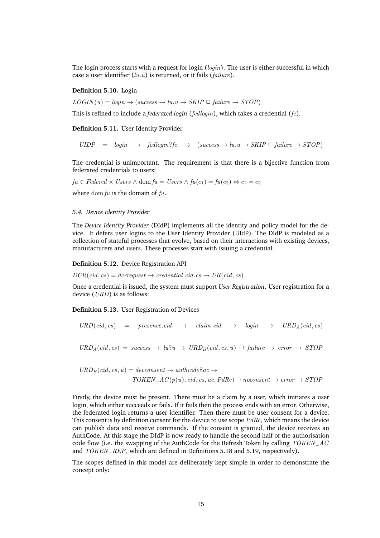The login process starts with a request for login  $(login)$ . The user is either successful in which case a user identifier  $(lu.u)$  is returned, or it fails  $(failure)$ .

# **Definition 5.10.** Login

 $LOGIN(u) = login \rightarrow (success \rightarrow lu.u \rightarrow SKIP \square failure \rightarrow STOP)$ 

This is refined to include a *federated login* (*fedlogin*), which takes a credential (*fc*).

**Definition 5.11.** User Identity Provider

 $UIDP = loan \rightarrow fedloain?fc \rightarrow (success \rightarrow lu.u \rightarrow SKIP \sqcup failure \rightarrow STOP)$ 

The credential is unimportant. The requirement is that there is a bijective function from federated credentials to users:

 $fu \in \mathit{Fedcred} \times \mathit{Users} \wedge \mathrm{dom}\, fu = \mathit{Users} \wedge fu(c_1) = fu(c_2) \Leftrightarrow c_1 = c_2$ 

where dom  $fu$  is the domain of  $fu$ .

#### *5.4. Device Identity Provider*

The *Device Identity Provider* (DIdP) implements all the identity and policy model for the device. It defers user logins to the User Identity Provider (UIdP). The DIdP is modeled as a collection of stateful processes that evolve, based on their interactions with existing devices, manufacturers and users. These processes start with issuing a credential.

<span id="page-14-0"></span>**Definition 5.12.** Device Registration API

 $DCR(cid, cs) = \text{decrequest} \rightarrow \text{credential.cid.cs} \rightarrow \text{UR}(cid, cs)$ 

Once a credential is issued, the system must support *User Registration*. User registration for a device (URD) is as follows:

**Definition 5.13.** User Registration of Devices

```
URD(cid, cs) = presence.cid \rightarrow claim.cid \rightarrow login \rightarrow URD<sub>A</sub>(cid, cs)
URD_A(cid, cs) = success \rightarrow lu?u \rightarrow URD_B(cid, cs, u) \square failure \rightarrow error \rightarrow STOP
```

```
URD_B (cid, cs, u) = devconsent \rightarrow authcode$ac \rightarrowTOKEN\_AC(p(u), cid, cs, ac, PdRc) \square noconsent \rightarrow error \rightarrow STOP
```
Firstly, the device must be present. There must be a claim by a user, which initiates a user login, which either succeeds or fails. If it fails then the process ends with an error. Otherwise, the federated login returns a user identifier. Then there must be user consent for a device. This consent is by definition consent for the device to use scope  $PdRc$ , which means the device can publish data and receive commands. If the consent is granted, the device receives an AuthCode. At this stage the DIdP is now ready to handle the second half of the authorisation code flow (i.e. the swapping of the AuthCode for the Refresh Token by calling  $TOKEN\_AC$ and TOKEN\_REF, which are defined in Definitions 5.18 and 5.19, respectively).

The scopes defined in this model are deliberately kept simple in order to demonstrate the concept only: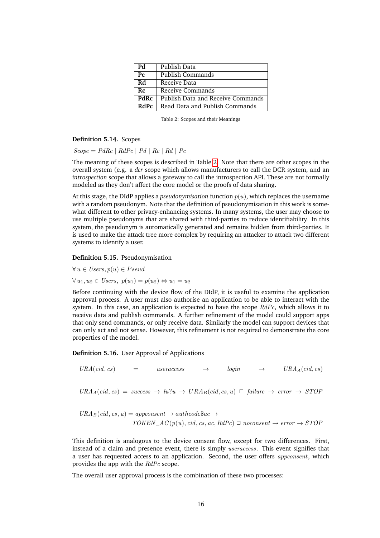| Þd          | Publish Data                      |
|-------------|-----------------------------------|
| Pc          | Publish Commands                  |
| Rd          | Receive Data                      |
| Rc          | Receive Commands                  |
| <b>PdRc</b> | Publish Data and Receive Commands |
| RdPc        | Read Data and Publish Commands    |

<span id="page-15-0"></span>Table 2: Scopes and their Meanings

# **Definition 5.14.** Scopes

 $Scope = PdRc | RdPc | Pd | Rc | Rd | Pc$ 

The meaning of these scopes is described in Table [2.](#page-15-0) Note that there are other scopes in the overall system (e.g. a *dcr* scope which allows manufacturers to call the DCR system, and an *introspection* scope that allows a gateway to call the introspection API. These are not formally modeled as they don't affect the core model or the proofs of data sharing.

At this stage, the DIdP applies a *pseudonymisation* function  $p(u)$ , which replaces the username with a random pseudonym. Note that the definition of pseudonymisation in this work is somewhat different to other privacy-enhancing systems. In many systems, the user may choose to use multiple pseudonyms that are shared with third-parties to reduce identifiability. In this system, the pseudonym is automatically generated and remains hidden from third-parties. It is used to make the attack tree more complex by requiring an attacker to attack two different systems to identify a user.

**Definition 5.15.** Pseudonymisation

 $\forall u \in \textit{Users}, p(u) \in \textit{Pseudo}$  $\forall u_1, u_2 \in \textit{Users}, \ p(u_1) = p(u_2) \Leftrightarrow u_1 = u_2$ 

Before continuing with the device flow of the DIdP, it is useful to examine the application approval process. A user must also authorise an application to be able to interact with the system. In this case, an application is expected to have the scope  $RdPc$ , which allows it to receive data and publish commands. A further refinement of the model could support apps that only send commands, or only receive data. Similarly the model can support devices that can only act and not sense. However, this refinement is not required to demonstrate the core properties of the model.

**Definition 5.16.** User Approval of Applications

 $URA(cid, cs)$  = useraccess  $\rightarrow$  login  $\rightarrow$   $URA_A(cid, cs)$  $URA_A(cid, cs) = success \rightarrow lu?u \rightarrow URA_B(cid, cs, u) \square failure \rightarrow error \rightarrow STOP$  $URA_B (cid. cs, u) = a\nproonsent \rightarrow authcode$ \$ac  $\rightarrow$ 

$$
TOKEN\_AC(p(u), cid, cs, ac, RdPc) \Box\ no consent \rightarrow error \rightarrow STOP
$$

This definition is analogous to the device consent flow, except for two differences. First, instead of a claim and presence event, there is simply useraccess. This event signifies that a user has requested access to an application. Second, the user offers appconsent, which provides the app with the  $RdPc$  scope.

The overall user approval process is the combination of these two processes: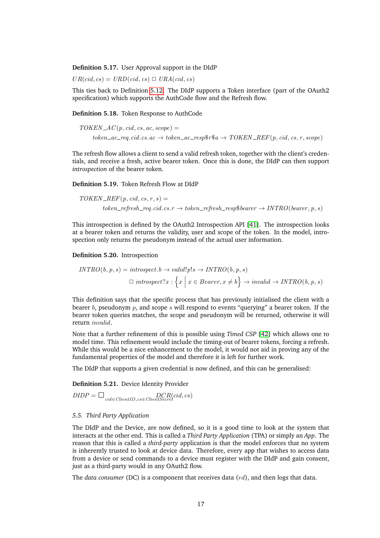**Definition 5.17.** User Approval support in the DIdP

 $UR(cid, cs) = URD(cid, cs) \square \text{URA}(cid, cs)$ 

This ties back to Definition [5.12.](#page-14-0) The DIdP supports a Token interface (part of the OAuth2 specification) which supports the AuthCode flow and the Refresh flow.

**Definition 5.18.** Token Response to AuthCode

 $TOKEN\_AC(p, cid, cs, ac, scope) =$  $token\_ac\_rea.cid.cs.ac \rightarrow token\_ac\_resp$  $$r$ \$ $a \rightarrow TOKEN\_REF(p, cid, cs, r, scope)$ 

The refresh flow allows a client to send a valid refresh token, together with the client's credentials, and receive a fresh, active bearer token. Once this is done, the DIdP can then support *introspection* of the bearer token.

**Definition 5.19.** Token Refresh Flow at DIdP

$$
TOKEN\_REF(p,cid, cs, r, s) =
$$
  
token\\_refresh\\_req.cid.cs.r  $\rightarrow$  token\\_refresh\\_resp\$bearer  $\rightarrow$  INTRO(bearer, p, s)

This introspection is defined by the OAuth2 Introspection API [\[41\]](#page-31-3). The introspection looks at a bearer token and returns the validity, user and scope of the token. In the model, introspection only returns the pseudonym instead of the actual user information.

#### <span id="page-16-0"></span>**Definition 5.20.** Introspection

$$
INTRO(b, p, s) = \text{introspect.} b \rightarrow \text{valid!} p! s \rightarrow \text{INTRO}(b, p, s)
$$

$$
\Box \text{ introspect?} x : \left\{ x \mid x \in \text{Bearer}, x \neq b \right\} \rightarrow \text{invalid} \rightarrow \text{INTRO}(b, p, s)
$$

This definition says that the specific process that has previously initialised the client with a bearer b, pseudonym p, and scope s will respond to events "querying" a bearer token. If the bearer token queries matches, the scope and pseudonym will be returned, otherwise it will return invalid.

Note that a further refinement of this is possible using *Timed CSP* [\[42\]](#page-31-4) which allows one to model time. This refinement would include the timing-out of bearer tokens, forcing a refresh. While this would be a nice enhancement to the model, it would not aid in proving any of the fundamental properties of the model and therefore it is left for further work.

The DIdP that supports a given credential is now defined, and this can be generalised:

**Definition 5.21.** Device Identity Provider

$$
DIDP = \square_{cid \in ClientID, cs \in ClientSecret} DCR(cid, cs)
$$

#### *5.5. Third Party Application*

The DIdP and the Device, are now defined, so it is a good time to look at the system that interacts at the other end. This is called a *Third Party Application* (TPA) or simply an *App*. The reason that this is called a *third-party* application is that the model enforces that no system is inherently trusted to look at device data. Therefore, every app that wishes to access data from a device or send commands to a device must register with the DIdP and gain consent, just as a third-party would in any OAuth2 flow.

The *data consumer* (DC) is a component that receives data (rd), and then logs that data.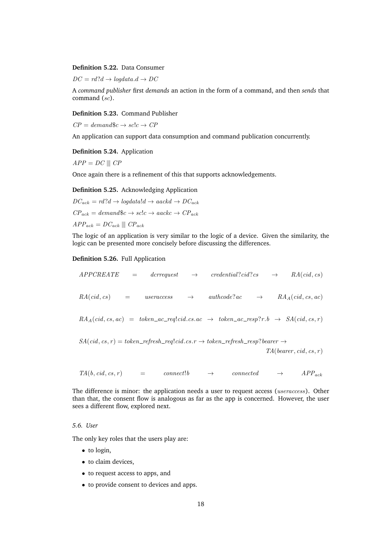# **Definition 5.22.** Data Consumer

 $DC = rd?d \rightarrow logdata.d \rightarrow DC$ 

A *command publisher* first *demands* an action in the form of a command, and then *sends* that command (sc).

**Definition 5.23.** Command Publisher

 $CP = demand$ \$c  $\rightarrow$  sc!c  $\rightarrow CP$ 

An application can support data consumption and command publication concurrently.

**Definition 5.24.** Application

 $APP = DC \parallel CP$ 

Once again there is a refinement of this that supports acknowledgements.

**Definition 5.25.** Acknowledging Application

 $DC_{ack} = rd?d \rightarrow logdata!d \rightarrow aackd \rightarrow DC_{ack}$  $CP_{ack} = demand\$ c  $\rightarrow$  sc!c  $\rightarrow$  aackc  $\rightarrow CP_{ack}$  $APP_{ack} = DC_{ack}$  ||  $CP_{ack}$ 

The logic of an application is very similar to the logic of a device. Given the similarity, the logic can be presented more concisely before discussing the differences.

#### **Definition 5.26.** Full Application

| APPCREATE                                                                                                | $=$ | $\,d$ crrequest          | $\rightarrow$ | $\;{\it credential?}\,{\it cid?}\,{\it cs} \quad\quad\rightarrow\quad$ |  | RA(cid, cs)            |
|----------------------------------------------------------------------------------------------------------|-----|--------------------------|---------------|------------------------------------------------------------------------|--|------------------------|
| $RA(cid, cs)$ =                                                                                          |     | $useraccess \rightarrow$ |               | $\mathit{authcode?ac} \rightarrow$                                     |  | $RA_A(cid, cs, ac)$    |
| $RA_A(cid, cs, ac) = token\_ac\_req!cd.cs.ac \rightarrow token\_ac\_resp?r.b \rightarrow SA(cid, cs, r)$ |     |                          |               |                                                                        |  |                        |
| $SA(cid, cs, r) = token\_refresh\_req!cid.cs.r \rightarrow token\_refresh\_resp? bearer \rightarrow$     |     |                          |               |                                                                        |  | TA(bearer, cid, cs, r) |

The difference is minor: the application needs a user to request access (*useraccess*). Other than that, the consent flow is analogous as far as the app is concerned. However, the user

 $TA(b, cid, cs, r)$  = connect!b  $\rightarrow$  connected  $\rightarrow$  APP<sub>ack</sub>

#### *5.6. User*

The only key roles that the users play are:

sees a different flow, explored next.

- to login,
- to claim devices,
- to request access to apps, and
- to provide consent to devices and apps.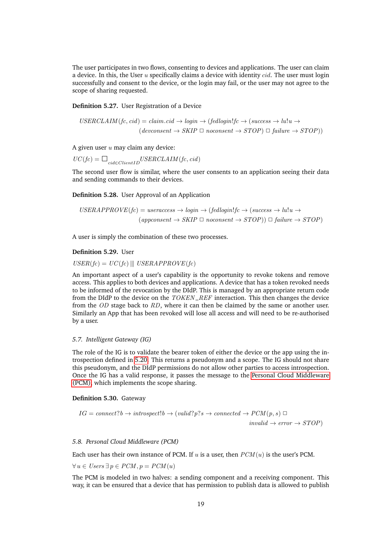The user participates in two flows, consenting to devices and applications. The user can claim a device. In this, the User  $u$  specifically claims a device with identity  $cid$ . The user must login successfully and consent to the device, or the login may fail, or the user may not agree to the scope of sharing requested.

**Definition 5.27.** User Registration of a Device

$$
USERCLAIM(fc, cid) = claim.cid \rightarrow login \rightarrow (fedlogin!fc \rightarrow (success \rightarrow lu!u \rightarrow (devoansent \rightarrow SKIP \Box noconsent \rightarrow STOP) \Box failure \rightarrow STOP))
$$

A given user  $u$  may claim any device:

 $\label{UC} UC(fc)=\square_{cid \in ClientID} USERCLAIM(fc,cid)$ 

The second user flow is similar, where the user consents to an application seeing their data and sending commands to their devices.

**Definition 5.28.** User Approval of an Application

$$
USERAPPROVE(fc) = useraccess \rightarrow login \rightarrow (fedlogin!fc \rightarrow (success \rightarrow lu!u \rightarrow
$$

$$
(appronsent \rightarrow SKIP \sqcup noconsent \rightarrow STOP)) \sqcup failure \rightarrow STOP)
$$

A user is simply the combination of these two processes.

#### **Definition 5.29.** User

 $USER(fc) = UC(fc) \parallel USERAPPROVE(fc)$ 

An important aspect of a user's capability is the opportunity to revoke tokens and remove access. This applies to both devices and applications. A device that has a token revoked needs to be informed of the revocation by the DIdP. This is managed by an appropriate return code from the DIdP to the device on the  $TOKEN\_REF$  interaction. This then changes the device from the OD stage back to RD, where it can then be claimed by the same or another user. Similarly an App that has been revoked will lose all access and will need to be re-authorised by a user.

# *5.7. Intelligent Gateway (IG)*

The role of the IG is to validate the bearer token of either the device or the app using the introspection defined in [5.20.](#page-16-0) This returns a pseudonym and a scope. The IG should not share this pseudonym, and the DIdP permissions do not allow other parties to access introspection. Once the IG has a valid response, it passes the message to the [Personal Cloud Middleware](#page-0-0) [\(PCM\),](#page-0-0) which implements the scope sharing.

**Definition 5.30.** Gateway

$$
IG = connect?b \rightarrow introspect!b \rightarrow (valid?p?s \rightarrow connected \rightarrow PCM(p, s) \Box
$$
  
involid  $\rightarrow error \rightarrow STOP$ )

#### *5.8. Personal Cloud Middleware (PCM)*

Each user has their own instance of PCM. If u is a user, then  $PCM(u)$  is the user's PCM.

 $\forall u \in \text{Users} \,\exists v \in \text{PCM}, v = \text{PCM}(u)$ 

The PCM is modeled in two halves: a sending component and a receiving component. This way, it can be ensured that a device that has permission to publish data is allowed to publish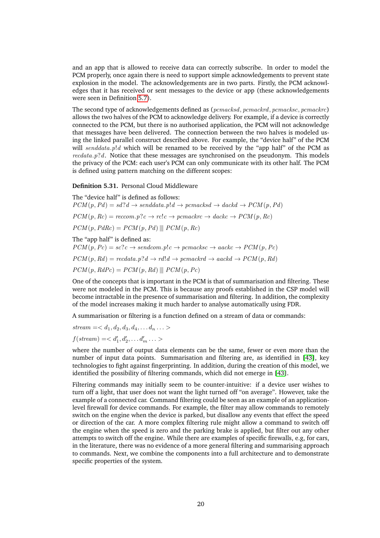and an app that is allowed to receive data can correctly subscribe. In order to model the PCM properly, once again there is need to support simple acknowledgements to prevent state explosion in the model. The acknowledgements are in two parts. Firstly, the PCM acknowledges that it has received or sent messages to the device or app (these acknowledgements were seen in Definition [5.7\)](#page-13-0).

The second type of acknowledgements defined as (pcmacksd, pcmackrd, pcmacksc, pcmackrc) allows the two halves of the PCM to acknowledge delivery. For example, if a device is correctly connected to the PCM, but there is no authorised application, the PCM will not acknowledge that messages have been delivered. The connection between the two halves is modeled using the linked parallel construct described above. For example, the "device half" of the PCM will senddata.p!d which will be renamed to be received by the "app half" of the PCM as  $\text{read} \text{ta.p?d.}$  Notice that these messages are synchronised on the pseudonym. This models the privacy of the PCM: each user's PCM can only communicate with its other half. The PCM is defined using pattern matching on the different scopes:

# **Definition 5.31.** Personal Cloud Middleware

The "device half" is defined as follows:  $PCM(p, Pd) = sd?d \rightarrow senddata.p!d \rightarrow pcmacksd \rightarrow dackd \rightarrow PCM(p, Pd)$  $PCM(p, Rc) = reccom.p?c \rightarrow rc!c \rightarrow pcmackrc \rightarrow dackc \rightarrow PCM(p, Rc)$  $PCM(p, PdRc) = PCM(p, Pd) \parallel PCM(p, Rc)$ The "app half" is defined as:  $PCM(p, Pc) = sc?c \rightarrow sendcom.p!c \rightarrow pemacks \rightarrow aackc \rightarrow PCM(p, Pc)$  $PCM(p, Rd) = \text{recdata}.p?d \rightarrow \text{rd}!d \rightarrow \text{pc} \text{mackrd} \rightarrow \text{qackd} \rightarrow \text{PCM}(p, Rd)$  $PCM(p, RdPc) = PCM(p, Rd) \parallel PCM(p, Pc)$ 

One of the concepts that is important in the PCM is that of summarisation and filtering. These were not modeled in the PCM. This is because any proofs established in the CSP model will become intractable in the presence of summarisation and filtering. In addition, the complexity of the model increases making it much harder to analyse automatically using FDR.

A summarisation or filtering is a function defined on a stream of data or commands:

 $stream = < d_1, d_2, d_3, d_4, \ldots, d_n \ldots >$  $f(\text{stream}) = < d'_1, d'_2, \dots, d'_m \dots >$ 

where the number of output data elements can be the same, fewer or even more than the number of input data points. Summarisation and filtering are, as identified in [\[43\]](#page-31-5), key technologies to fight against fingerprinting. In addition, during the creation of this model, we identified the possibility of filtering commands, which did not emerge in [\[43\]](#page-31-5).

Filtering commands may initially seem to be counter-intuitive: if a device user wishes to turn off a light, that user does not want the light turned off "on average". However, take the example of a connected car. Command filtering could be seen as an example of an applicationlevel firewall for device commands. For example, the filter may allow commands to remotely switch on the engine when the device is parked, but disallow any events that effect the speed or direction of the car. A more complex filtering rule might allow a command to switch off the engine when the speed is zero and the parking brake is applied, but filter out any other attempts to switch off the engine. While there are examples of specific firewalls, e.g, for cars, in the literature, there was no evidence of a more general filtering and summarising approach to commands. Next, we combine the components into a full architecture and to demonstrate specific properties of the system.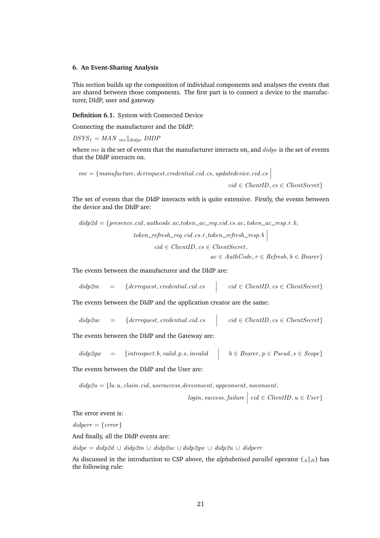## <span id="page-20-0"></span>**6. An Event-Sharing Analysis**

This section builds up the composition of individual components and analyses the events that are shared between those components. The first part is to connect a device to the manufacturer, DIdP, user and gateway.

**Definition 6.1.** System with Connected Device

Connecting the manufacturer and the DIdP:

 $DSYS_1 = MAN_{me}$ ||didpe DIDP

where  $me$  is the set of events that the manufacturer interacts on, and  $\emph{didge}$  is the set of events that the DIdP interacts on.

 $me = {\{manufacture, derrequest, credential.cid.cs.\,updatedevice.cid.cs.\}}$ 

 $cid \in ClientID, cs \in ClientSecret\}$ 

The set of events that the DIdP interacts with is quite extensive. Firstly, the events between the device and the DIdP are:

$$
did p2d = \{presence.cid, authcode.ac,token\_ac\_req.cid.cs.ac,token\_ac\_resp.r.b,
$$
  
\n
$$
token\_refresh\_req.cid.cs.r,token\_refresh\_resp.b
$$
  
\n
$$
cid \in ClientID, cs \in ClientSecret,
$$
  
\n
$$
ac \in AuthorCode, r \in Refresh, b \in Bearer\}
$$

The events between the manufacturer and the DIdP are:

 $didp2m = \{dcrrequest, credential.cid.cs$  $\overline{\phantom{a}}$  $\overline{\phantom{a}}$  $\overline{\phantom{a}}$  $cid \in ClientID, cs \in ClientSecret\}$ 

The events between the DIdP and the application creator are the same:

| didp2ac |  | ${ \{dcrrequest, {\it credential.cid.cs} \} }$ | $cid \in ClientID, cs \in ClientSecret\}$ |
|---------|--|------------------------------------------------|-------------------------------------------|
|---------|--|------------------------------------------------|-------------------------------------------|

The events between the DIdP and the Gateway are:

$$
did p2gw = \{introspect.b, valid.p.s, invalid \mid b \in Bearer, p \in Pseudo, s \in Scope\}
$$

The events between the DIdP and the User are:

 $didp2u = \{lu.u, claim.cid, user access, devoonsent, approach, no consent,$ 

$$
login, success, failure \mid cid \in ClientID, u \in User\}
$$

The error event is:

 $didperr = \{error\}$ 

And finally, all the DIdP events are:

didpe = didp2d ∪ didp2m ∪ didp2ac ∪ didp2gw ∪ didp2u ∪ didperr

As discussed in the introduction to CSP above, the *alphabetised parallel* operator  $(A||_B)$  has the following rule: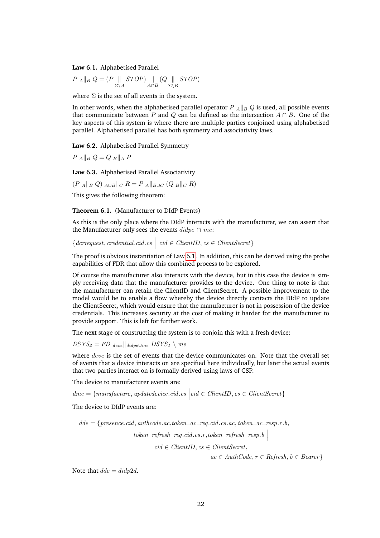<span id="page-21-0"></span>**Law 6.1.** Alphabetised Parallel

$$
P_A \parallel_B Q = (P \parallel \text{STOP}) \parallel \text{ (}Q \parallel \text{STOP})
$$

where  $\Sigma$  is the set of all events in the system.

In other words, when the alphabetised parallel operator  $P_A \parallel_B Q$  is used, all possible events that communicate between P and Q can be defined as the intersection  $A \cap B$ . One of the key aspects of this system is where there are multiple parties conjoined using alphabetised parallel. Alphabetised parallel has both symmetry and associativity laws.

**Law 6.2.** Alphabetised Parallel Symmetry

 $P_A \|_{B} Q = Q_B \|_{A} P$ 

<span id="page-21-1"></span>**Law 6.3.** Alphabetised Parallel Associativity

 $(P_A||_B Q)_{A\cup B||_C R = P_A||_{B\cup C} (Q_B||_C R)$ 

This gives the following theorem:

#### **Theorem 6.1.** (Manufacturer to DIdP Events)

As this is the only place where the DIdP interacts with the manufacturer, we can assert that the Manufacturer only sees the events  $dide \cap me$ :

 ${decrequest, credentials.cid.cs \mid cid \in ClientID, cs \in ClientSecret}$ 

The proof is obvious instantiation of Law [6.1.](#page-21-0) In addition, this can be derived using the probe capabilities of FDR that allow this combined process to be explored.

Of course the manufacturer also interacts with the device, but in this case the device is simply receiving data that the manufacturer provides to the device. One thing to note is that the manufacturer can retain the ClientID and ClientSecret. A possible improvement to the model would be to enable a flow whereby the device directly contacts the DIdP to update the ClientSecret, which would ensure that the manufacturer is not in possession of the device credentials. This increases security at the cost of making it harder for the manufacturer to provide support. This is left for further work.

The next stage of constructing the system is to conjoin this with a fresh device:

 $DSYS_2 = FD$  deve $\Vert_{dide\cup me}$   $DSYS_1 \setminus me$ 

where  $\text{deve}$  is the set of events that the device communicates on. Note that the overall set of events that a device interacts on are specified here individually, but later the actual events that two parties interact on is formally derived using laws of CSP.

The device to manufacturer events are:

 $dme = \{manufacture, updatedevice.cid.cs \mid cid \in ClientID, cs \in ClientSecret\}$ 

The device to DIdP events are:

 $dde = \{presence.cid, authorode.ac,token\_ac\_req.cid.cs.ac,token\_ac\_resp.r.b,$ 

 $token\_refresh\_req.cid.cs.r, token\_refresh\_resp.b \Bigm|$ 

 $cid \in ClientID, cs \in ClientSecret,$ 

 $ac \in \text{AuthorCode}, r \in \text{Refresh}, b \in \text{Bearer}$ 

Note that  $dde = didp2d$ .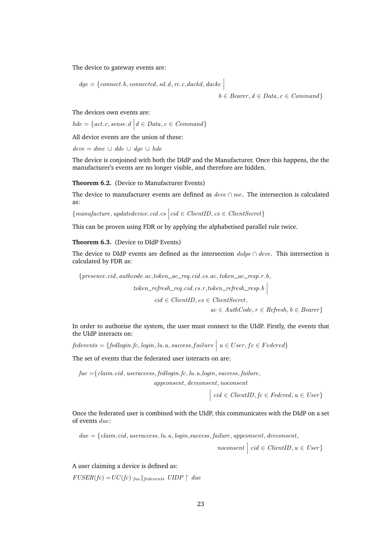The device to gateway events are:

 $\label{eq:decomp} \begin{aligned} \textit{dge} = \{\textit{connect.b}, \textit{connected}, \textit{sd.d}, \textit{rc.c}, \textit{dackd}, \textit{dackc}\ \end{aligned}$ 

 $b \in Bearer, d \in Data, c \in Command$ 

The devices own events are:

 $hde = \{act.c, sense.d \mid d \in Data, c \in Command\}$ 

All device events are the union of these:

deve = dme ∪ dde ∪ dge ∪ hde

The device is conjoined with both the DIdP and the Manufacturer. Once this happens, the the manufacturer's events are no longer visible, and therefore are hidden.

**Theorem 6.2.** (Device to Manufacturer Events)

The device to manufacturer events are defined as  $deve \cap me$ . The intersection is calculated as:

 ${\{manufacture, updatedevice.cid.cs \mid cid \in ClientID, cs \in ClientSecret\}}$ 

This can be proven using FDR or by applying the alphabetised parallel rule twice.

#### **Theorem 6.3.** (Device to DIdP Events)

The device to DIdP events are defined as the intersection  $\text{didge} \cap \text{deve}$ . This intersection is calculated by FDR as:

 ${p}{resence.cid}, authorode.ac,token.acreq.cid.cs.ac,token.ac-resp.r.b,$ 

 $token\_refresh\_req.cid.cs.r, token\_refresh\_resp.b \Bigm|$ 

 $cid \in ClientID, cs \in ClientSecret,$ 

 $ac \in \text{AuthorCode}, r \in \text{Referesh}, b \in \text{Bearer}$ 

In order to authorise the system, the user must connect to the UIdP. Firstly, the events that the UIdP interacts on:

 $fedevents = \{fedlogin.fc, login, lu.u, success, failure \mid u \in User, fc \in Federal\}$ 

The set of events that the federated user interacts on are:

 $fue = {claim.cid, useraccess, fedlogin.fc, lu.u, login, success, failure,$ appconsent, devconsent, noconsent

 $\Big\{\text{cid} \in \text{ClientID}, \text{fc} \in \text{Fedcred}, u \in \text{User}\}\Big\}$ 

Once the federated user is combined with the UIdP, this communicates with the DIdP on a set of events due:

 $due = {claim.cid, user access, lu.u, login, success, failure, approach, devconsent,$ 

 $nocomsent \mid cid \in ClientID, u \in User\}$ 

A user claiming a device is defined as:

 $FUSER(fc) = UC(fc)_{fuel}||_{fedevents}$  UIDP  $\uparrow$  due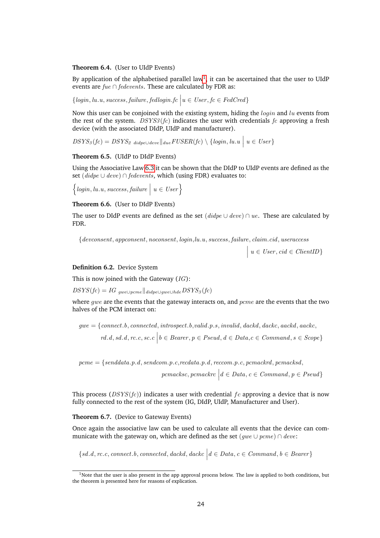**Theorem 6.4.** (User to UIdP Events)

By application of the alphabetised parallel law<sup>[1](#page-23-0)</sup>, it can be ascertained that the user to UIdP events are  $fue \cap federets$ . These are calculated by FDR as:

 $\{login, lu.u, success, failure, fedlogin.fc \mid u \in User, fc \in FedCred\}$ 

Now this user can be conjoined with the existing system, hiding the  $login$  and  $lu$  events from the rest of the system.  $DSYS3 (fc)$  indicates the user with credentials  $fc$  approving a fresh device (with the associated DIdP, UIdP and manufacturer).

 $DSYS<sub>3</sub>(fc) = DSYS<sub>2</sub>$  didpe $\cup$ deve  $\Vert$ due  $FUSER(fc) \setminus \{login, lu.u \mid u \in User\}$ 

#### **Theorem 6.5.** (UIdP to DIdP Events)

Using the Associative Law [6.3](#page-21-1) it can be shown that the DIdP to UIdP events are defined as the set (didpe ∪ deve) ∩ fedevents, which (using FDR) evaluates to:

 $\left\{ \text{login}, \text{lu.u}, \text{success}, \text{failure} \mid u \in \text{User} \right\}$ 

**Theorem 6.6.** (User to DIdP Events)

The user to DIdP events are defined as the set ( $\text{didge} \cup \text{deve} \cap \text{ue}$ . These are calculated by FDR.

{devconsent, appconsent, noconsent, login,lu.u, success, failure, claim.cid, useraccess

 $\Big\{ u \in User, \, cid \in ClientID \}$ 

#### **Definition 6.2.** Device System

This is now joined with the Gateway  $(IG)$ :

 $DSYS(fc) = IG_{gwe\cup pcme}$ ||didpe∪gwe∪hde $DSYS_3(fc)$ 

where *qwe* are the events that the gateway interacts on, and  $p_{\text{cme}}$  are the events that the two halves of the PCM interact on:

 $gwe = \{connect.b, connected, introspect.b, valid.p.s, invalid, dack, dackc, aackd, aackc,$  $rd.d, sd.d, rc.c, sc.c \mid b \in$ *Bearer* $,  $p \in Pseudo, d \in Data, c \in Command, s \in Scope\}$$ 

 $p$ cme = {senddata.p.d, sendcom.p.c, recdata.p.d, reccom.p.c, pcmackrd, pcmacksd,

 $pcmacks$ c, pcmackrc  $\Big| d \in Data, c \in Command, p \in Pseudo\}$ 

This process ( $DSYS(f_c)$ ) indicates a user with credential  $fc$  approving a device that is now fully connected to the rest of the system (IG, DIdP, UIdP, Manufacturer and User).

**Theorem 6.7.** (Device to Gateway Events)

Once again the associative law can be used to calculate all events that the device can communicate with the gateway on, which are defined as the set (gwe  $\cup$  pcme) ∩ deve:

 $\{sd.d, rc.c, connect.b, connected, dackd, dackc \mid d \in Data, c \in Command, b \in Bearer\}$ 

<span id="page-23-0"></span> $1$ Note that the user is also present in the app approval process below. The law is applied to both conditions, but the theorem is presented here for reasons of explication.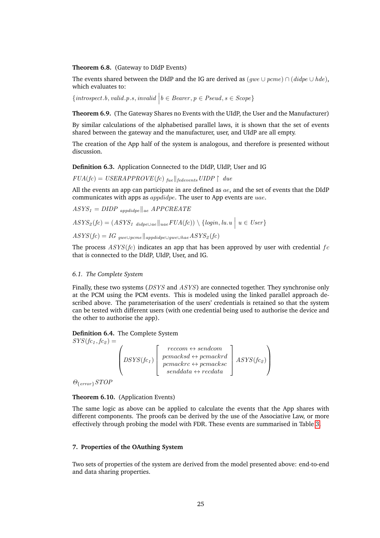**Theorem 6.8.** (Gateway to DIdP Events)

The events shared between the DIdP and the IG are derived as  $(gwe \cup \text{pcm}) \cap (\text{dide} \cup \text{hde})$ , which evaluates to:

 $\{intorspect.b, valid.p.s, invalid \mid b \in Bearer, p \in Pseudo, s \in Scope\}$ 

**Theorem 6.9.** (The Gateway Shares no Events with the UIdP, the User and the Manufacturer)

By similar calculations of the alphabetised parallel laws, it is shown that the set of events shared between the gateway and the manufacturer, user, and UIdP are all empty.

The creation of the App half of the system is analogous, and therefore is presented without discussion.

**Definition 6.3.** Application Connected to the DIdP, UIdP, User and IG

 $FUA(fc) = USERAPPROVE(fc)$  fuell fedevents UIDP  $\uparrow$  due

All the events an app can participate in are defined as  $ae$ , and the set of events that the DIdP communicates with apps as *appdidpe*. The user to App events are uae.

$$
ASYS_1 = DIDP_{appidape} \parallel_{ae} APPCREATE
$$
  
\n
$$
ASYS_2(fc) = (ASYS_1_{didpe \cup ae} \parallel_{uae} FUA(fc)) \setminus \{login, lu.u \mid u \in User\}
$$
  
\n
$$
ASYS(fc) = IG_{gwe \cup pcme} \parallel_{appidide \cup gwe \cup hae} ASYS_2(fc)
$$

The process  $ASYS(fc)$  indicates an app that has been approved by user with credential fc that is connected to the DIdP, UIdP, User, and IG.

#### *6.1. The Complete System*

Finally, these two systems (DSYS and ASYS) are connected together. They synchronise only at the PCM using the PCM events. This is modeled using the linked parallel approach described above. The parameterisation of the users' credentials is retained so that the system can be tested with different users (with one credential being used to authorise the device and the other to authorise the app).

# **Definition 6.4.** The Complete System

 $SYS(fc_1, fc_2) =$ 

 $\sqrt{ }$  $\bigg| \, DSYS(fc_1)$  $\lceil$  $\Big\}$  $reccom \leftrightarrow sendcom$  $pcmacksd \leftrightarrow pcmackrd$  $p$ cmackrc  $\leftrightarrow$  pcmacksc  $senddata \leftrightarrow recdata$ 1  $\Big\}$  $ASYS(fc_2)$  $\setminus$  $\overline{\phantom{a}}$ 

 $\Theta$ <sub>{error}</sub>STOP

**Theorem 6.10.** (Application Events)

The same logic as above can be applied to calculate the events that the App shares with different components. The proofs can be derived by the use of the Associative Law, or more effectively through probing the model with FDR. These events are summarised in Table [3.](#page-25-0)

# <span id="page-24-0"></span>**7. Properties of the OAuthing System**

Two sets of properties of the system are derived from the model presented above: end-to-end and data sharing properties.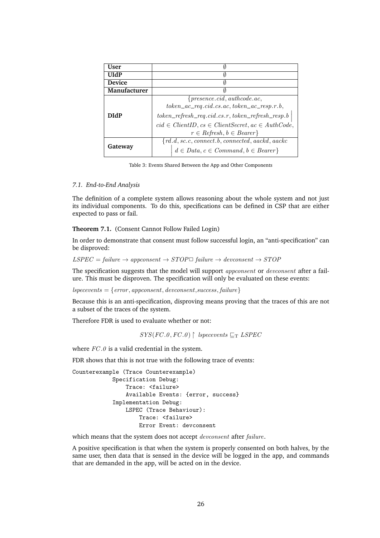| User          | N                                                                                                                                                                                                                                                                  |  |  |  |  |
|---------------|--------------------------------------------------------------------------------------------------------------------------------------------------------------------------------------------------------------------------------------------------------------------|--|--|--|--|
| UIdP          | Ø                                                                                                                                                                                                                                                                  |  |  |  |  |
| <b>Device</b> | Ø                                                                                                                                                                                                                                                                  |  |  |  |  |
| Manufacturer  | N                                                                                                                                                                                                                                                                  |  |  |  |  |
| DIdP          | ${p}{resence.cid}, {author} a c,$<br>$token\_ac\_req.cid.cs.ac, token\_ac\_resp.r.b,$<br>$token\_refresh\_req.cid.cs.r, token\_refresh\_resp.b$<br>$cid \in ClientID, cs \in ClientSecret, ac \in AuthorCode,$<br>$r \in \text{References} h, b \in \text{Bearer}$ |  |  |  |  |
| Gateway       | $\{rd.d, sc.c, connect.b, connected, aackd, aackc\}$<br>$d \in Data, c \in Command, b \in Bearer\}$                                                                                                                                                                |  |  |  |  |

<span id="page-25-0"></span>Table 3: Events Shared Between the App and Other Components

# *7.1. End-to-End Analysis*

The definition of a complete system allows reasoning about the whole system and not just its individual components. To do this, specifications can be defined in CSP that are either expected to pass or fail.

# **Theorem 7.1.** (Consent Cannot Follow Failed Login)

In order to demonstrate that consent must follow successful login, an "anti-specification" can be disproved:

 $LSPEC = failure \rightarrow approach \rightarrow STOP \Box failure \rightarrow dev consent \rightarrow STOP$ 

The specification suggests that the model will support *appconsent* or *devconsent* after a failure. This must be disproven. The specification will only be evaluated on these events:

 $lspecies = \{error, approach, devonsent, success, failure\}$ 

Because this is an anti-specification, disproving means proving that the traces of this are not a subset of the traces of the system.

Therefore FDR is used to evaluate whether or not:

 $SYS(FC.0, FC.0)$  | lspecevents  $\sqsubseteq_{\text{T}} LSPEC$ 

where  $FC.0$  is a valid credential in the system.

FDR shows that this is not true with the following trace of events:

```
Counterexample (Trace Counterexample)
            Specification Debug:
                Trace: <failure>
                Available Events: {error, success}
            Implementation Debug:
                LSPEC (Trace Behaviour):
                    Trace: <failure>
                    Error Event: devconsent
```
which means that the system does not accept devconsent after failure.

A positive specification is that when the system is properly consented on both halves, by the same user, then data that is sensed in the device will be logged in the app, and commands that are demanded in the app, will be acted on in the device.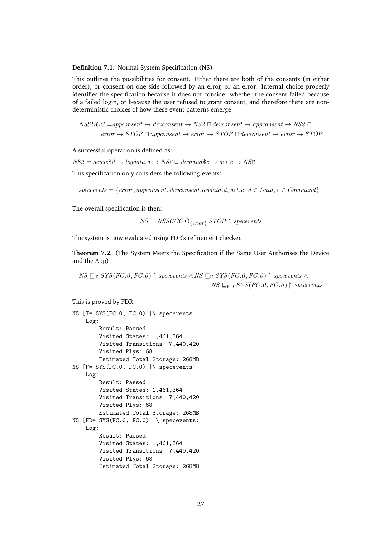**Definition 7.1.** Normal System Specification (NS)

This outlines the possibilities for consent. Either there are both of the consents (in either order), or consent on one side followed by an error, or an error. Internal choice properly identifies the specification because it does not consider whether the consent failed because of a failed login, or because the user refused to grant consent, and therefore there are nondeterministic choices of how these event patterns emerge.

 $NSSUCC = approach \rightarrow devoonsent \rightarrow NS2 \sqcap devoonsent \rightarrow approach \rightarrow NS2 \sqcap$  $error \rightarrow STOP \sqcap appconstant \rightarrow error \rightarrow STOP \sqcap devconsent \rightarrow error \rightarrow STOP$ 

## A successful operation is defined as:

 $NS2 = sense\$ d → logdata.d → NS2  $\Box$  demand $\c$  → act.c → NS2

This specification only considers the following events:

 $species = \{error, a proonsent, devoonsent, logdata.d, act.c \mid d \in Data, c \in Command\}$ 

The overall specification is then:

$$
NS = NSSUCC \Theta_{\{error\}} \, STOP \upharpoonright \, specevents
$$

The system is now evaluated using FDR's refinement checker.

**Theorem 7.2.** (The System Meets the Specification if the Same User Authorises the Device and the App)

 $NS \sqsubseteq_{T} SYS(FC.0, FC.0 ) \upharpoonright$  specevents ∧  $NS \sqsubseteq_{F} SYS(FC.0, FC.0 ) \upharpoonright$  specevents ∧  $NS \sqsubseteq_{\text{FD}} SYS(FC.0, FC.0)$  | specevents

```
This is proved by FDR:
```

```
NS [T= SYS(FC.0, FC.0) |\ specevents:
   Log:
        Result: Passed
        Visited States: 1,461,364
        Visited Transitions: 7,440,420
        Visited Plys: 68
        Estimated Total Storage: 268MB
NS [F= SYS(FC.0, FC.0) |\ specevents:
   Log:
        Result: Passed
        Visited States: 1,461,364
        Visited Transitions: 7,440,420
        Visited Plys: 68
        Estimated Total Storage: 268MB
NS [FD= SYS(FC.0, FC.0) |\ specevents:
   Log:
        Result: Passed
        Visited States: 1,461,364
        Visited Transitions: 7,440,420
        Visited Plys: 68
        Estimated Total Storage: 268MB
```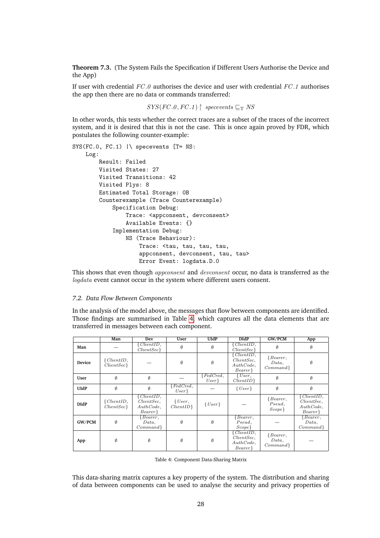**Theorem 7.3.** (The System Fails the Specification if Different Users Authorise the Device and the App)

If user with credential  $FC.0$  authorises the device and user with credential  $FC.1$  authorises the app then there are no data or commands transferred:

 $SYS(FC.0, FC.1)$   $\uparrow$  specevents  $\sqsubseteq_{T} NS$ 

In other words, this tests whether the correct traces are a subset of the traces of the incorrect system, and it is desired that this is not the case. This is once again proved by FDR, which postulates the following counter-example:

```
SYS(FC.0, FC.1) |\ specevents [T= NS:
   Log:
        Result: Failed
        Visited States: 27
        Visited Transitions: 42
        Visited Plys: 8
        Estimated Total Storage: 0B
        Counterexample (Trace Counterexample)
            Specification Debug:
                Trace: <appconsent, devconsent>
                Available Events: {}
            Implementation Debug:
                NS (Trace Behaviour):
                    Trace: <tau, tau, tau, tau,
                    appconsent, devconsent, tau, tau>
                    Error Event: logdata.D.0
```
This shows that even though *appconsent* and *devconsent* occur, no data is transferred as the logdata event cannot occur in the system where different users consent.

## <span id="page-27-0"></span>*7.2. Data Flow Between Components*

In the analysis of the model above, the messages that flow between components are identified. Those findings are summarised in Table [4,](#page-27-1) which captures all the data elements that are transferred in messages between each component.

|             | Man                        | Dev                                                      | <b>User</b>               | <b>UIdP</b>              | $DIdP$                                                                       | GW/PCM                             | App                                                             |
|-------------|----------------------------|----------------------------------------------------------|---------------------------|--------------------------|------------------------------------------------------------------------------|------------------------------------|-----------------------------------------------------------------|
| Man         |                            | $ClientID$ ,<br>ClientSec                                | Ø                         | Ø                        | ${ClientID},$<br>ClientSec                                                   | Ø                                  | Ø                                                               |
| Device      | ${ClientID,}$<br>ClientSec |                                                          | Ø                         | $\emptyset$              | $\overline{\{ClientID,$<br>ClientSec.<br>$AuthorCode$ ,<br>$\text{B}earer\}$ | ${Bearer,$<br>Data,<br>$Command\}$ | Ø                                                               |
| User        | Ø                          | $\emptyset$                                              |                           | $\{FedCred,$<br>$User\}$ | $\{User,$<br>$ClientID$ }                                                    | Ø                                  | Ø                                                               |
| <b>UIdP</b> | Ø                          | Ø                                                        | FedCred,<br>$User\}$      |                          | $\{User\}$                                                                   | Ø                                  | Ø                                                               |
| <b>DIdP</b> | ${ClientID,$<br>ClientSec  | ${ClientID}$ ,<br>ClientSec.<br>$AuthorCode$ ,<br>Bearer | $\{User,$<br>$ClientID$ } | $\{User\}$               |                                                                              | ${Bearer,$<br>Pseudo,<br>$Scope\}$ | ${ClientID},$<br>ClientSec.<br>AuthorCode,<br>$\text{B}earer\}$ |
| GW/PCM      | Ø                          | Bearer,<br>Data,<br>$Command\}$                          | Ø                         | Ø                        | Bearer,<br>Pseudo,<br>$Scope$ }                                              |                                    | ${ \n  Bearer }$<br>Data,<br>$Command$ }                        |
| App         | Ø                          | Ø                                                        | Ø                         | Ø                        | $\{ClientID,$<br>ClientSec,<br>$AuthorCode$ ,<br>$\text{B}earer\}$           | ${Bearer}$<br>Data,<br>Command     |                                                                 |

<span id="page-27-1"></span>

|  |  | Table 4: Component Data-Sharing Matrix |  |
|--|--|----------------------------------------|--|
|--|--|----------------------------------------|--|

This data-sharing matrix captures a key property of the system. The distribution and sharing of data between components can be used to analyse the security and privacy properties of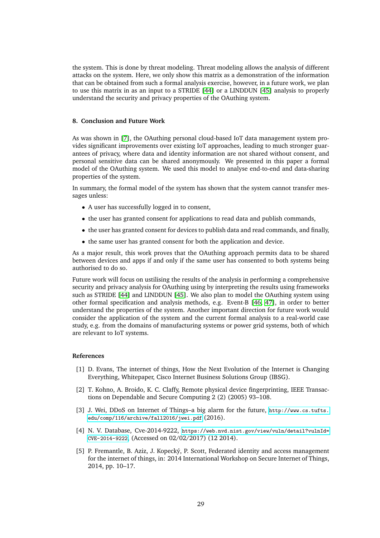the system. This is done by threat modeling. Threat modeling allows the analysis of different attacks on the system. Here, we only show this matrix as a demonstration of the information that can be obtained from such a formal analysis exercise, however, in a future work, we plan to use this matrix in as an input to a STRIDE [\[44\]](#page-31-6) or a LINDDUN [\[45\]](#page-31-7) analysis to properly understand the security and privacy properties of the OAuthing system.

# <span id="page-28-5"></span>**8. Conclusion and Future Work**

As was shown in [\[7\]](#page-29-1), the OAuthing personal cloud-based IoT data management system provides significant improvements over existing IoT approaches, leading to much stronger guarantees of privacy, where data and identity information are not shared without consent, and personal sensitive data can be shared anonymously. We presented in this paper a formal model of the OAuthing system. We used this model to analyse end-to-end and data-sharing properties of the system.

In summary, the formal model of the system has shown that the system cannot transfer messages unless:

- A user has successfully logged in to consent,
- the user has granted consent for applications to read data and publish commands,
- the user has granted consent for devices to publish data and read commands, and finally,
- the same user has granted consent for both the application and device.

As a major result, this work proves that the OAuthing approach permits data to be shared between devices and apps if and only if the same user has consented to both systems being authorised to do so.

Future work will focus on ustilising the results of the analysis in performing a comprehensive security and privacy analysis for OAuthing using by interpreting the results using frameworks such as STRIDE [\[44\]](#page-31-6) and LINDDUN [\[45\]](#page-31-7). We also plan to model the OAuthing system using other formal specification and analysis methods, e.g. Event-B [\[46,](#page-31-8) [47\]](#page-31-9), in order to better understand the properties of the system. Another important direction for future work would consider the application of the system and the current formal analysis to a real-world case study, e.g. from the domains of manufacturing systems or power grid systems, both of which are relevant to IoT systems.

#### **References**

- <span id="page-28-0"></span>[1] D. Evans, The internet of things, How the Next Evolution of the Internet is Changing Everything, Whitepaper, Cisco Internet Business Solutions Group (IBSG).
- <span id="page-28-1"></span>[2] T. Kohno, A. Broido, K. C. Claffy, Remote physical device fingerprinting, IEEE Transactions on Dependable and Secure Computing 2 (2) (2005) 93–108.
- <span id="page-28-2"></span>[3] J. Wei, DDoS on Internet of Things–a big alarm for the future, [http://www.cs.tufts.](http://www.cs.tufts.edu/comp/116/archive/fall2016/jwei.pdf) [edu/comp/116/archive/fall2016/jwei.pdf](http://www.cs.tufts.edu/comp/116/archive/fall2016/jwei.pdf) (2016).
- <span id="page-28-3"></span>[4] N. V. Database, Cve-2014-9222, [https://web.nvd.nist.gov/view/vuln/detail?vulnId=](https://web.nvd.nist.gov/view/vuln/detail?vulnId=CVE-2014-9222) [CVE-2014-9222](https://web.nvd.nist.gov/view/vuln/detail?vulnId=CVE-2014-9222), (Accessed on 02/02/2017) (12 2014).
- <span id="page-28-4"></span>[5] P. Fremantle, B. Aziz, J. Kopecký, P. Scott, Federated identity and access management for the internet of things, in: 2014 International Workshop on Secure Internet of Things, 2014, pp. 10–17.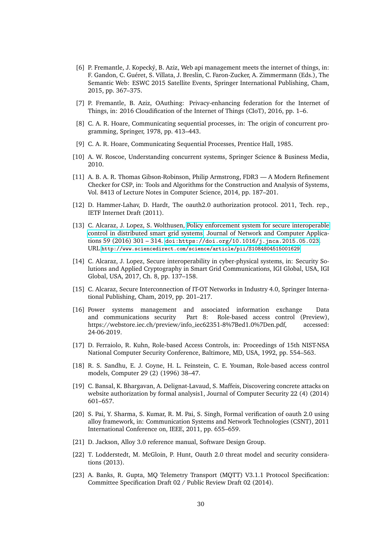- <span id="page-29-0"></span>[6] P. Fremantle, J. Kopecký, B. Aziz, Web api management meets the internet of things, in: F. Gandon, C. Gu´eret, S. Villata, J. Breslin, C. Faron-Zucker, A. Zimmermann (Eds.), The Semantic Web: ESWC 2015 Satellite Events, Springer International Publishing, Cham, 2015, pp. 367–375.
- <span id="page-29-1"></span>[7] P. Fremantle, B. Aziz, OAuthing: Privacy-enhancing federation for the Internet of Things, in: 2016 Cloudification of the Internet of Things (CIoT), 2016, pp. 1–6.
- <span id="page-29-2"></span>[8] C. A. R. Hoare, Communicating sequential processes, in: The origin of concurrent programming, Springer, 1978, pp. 413–443.
- <span id="page-29-3"></span>[9] C. A. R. Hoare, Communicating Sequential Processes, Prentice Hall, 1985.
- <span id="page-29-4"></span>[10] A. W. Roscoe, Understanding concurrent systems, Springer Science & Business Media, 2010.
- <span id="page-29-5"></span>[11] A. B. A. R. Thomas Gibson-Robinson, Philip Armstrong, FDR3 — A Modern Refinement Checker for CSP, in: Tools and Algorithms for the Construction and Analysis of Systems, Vol. 8413 of Lecture Notes in Computer Science, 2014, pp. 187–201.
- <span id="page-29-6"></span>[12] D. Hammer-Lahav, D. Hardt, The oauth2.0 authorization protocol. 2011, Tech. rep., IETF Internet Draft (2011).
- <span id="page-29-7"></span>[13] C. Alcaraz, J. Lopez, S. Wolthusen, [Policy enforcement system for secure interoperable](http://www.sciencedirect.com/science/article/pii/S1084804515001629) [control in distributed smart grid systems,](http://www.sciencedirect.com/science/article/pii/S1084804515001629) Journal of Network and Computer Applications 59 (2016) 301 - 314. [doi:https://doi.org/10.1016/j.jnca.2015.05.023](http://dx.doi.org/https://doi.org/10.1016/j.jnca.2015.05.023). URL <http://www.sciencedirect.com/science/article/pii/S1084804515001629>
- <span id="page-29-8"></span>[14] C. Alcaraz, J. Lopez, Secure interoperability in cyber-physical systems, in: Security Solutions and Applied Cryptography in Smart Grid Communications, IGI Global, USA, IGI Global, USA, 2017, Ch. 8, pp. 137–158.
- <span id="page-29-9"></span>[15] C. Alcaraz, Secure Interconnection of IT-OT Networks in Industry 4.0, Springer International Publishing, Cham, 2019, pp. 201–217.
- <span id="page-29-10"></span>[16] Power systems management and associated information exchange Data and communications security Part 8: Role-based access control (Preview), https://webstore.iec.ch/preview/info iec62351-8%7Bed1.0%7Den.pdf, accessed: 24-06-2019.
- <span id="page-29-11"></span>[17] D. Ferraiolo, R. Kuhn, Role-based Access Controls, in: Proceedings of 15th NIST-NSA National Computer Security Conference, Baltimore, MD, USA, 1992, pp. 554–563.
- <span id="page-29-12"></span>[18] R. S. Sandhu, E. J. Coyne, H. L. Feinstein, C. E. Youman, Role-based access control models, Computer 29 (2) (1996) 38–47.
- <span id="page-29-13"></span>[19] C. Bansal, K. Bhargavan, A. Delignat-Lavaud, S. Maffeis, Discovering concrete attacks on website authorization by formal analysis1, Journal of Computer Security 22 (4) (2014) 601–657.
- <span id="page-29-14"></span>[20] S. Pai, Y. Sharma, S. Kumar, R. M. Pai, S. Singh, Formal verification of oauth 2.0 using alloy framework, in: Communication Systems and Network Technologies (CSNT), 2011 International Conference on, IEEE, 2011, pp. 655–659.
- <span id="page-29-15"></span>[21] D. Jackson, Alloy 3.0 reference manual, Software Design Group.
- <span id="page-29-16"></span>[22] T. Lodderstedt, M. McGloin, P. Hunt, Oauth 2.0 threat model and security considerations (2013).
- <span id="page-29-17"></span>[23] A. Banks, R. Gupta, MQ Telemetry Transport (MQTT) V3.1.1 Protocol Specification: Committee Specification Draft 02 / Public Review Draft 02 (2014).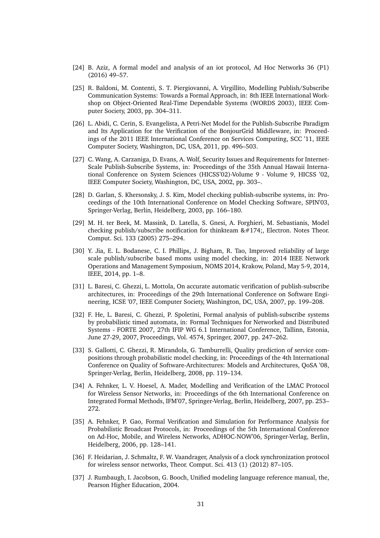- <span id="page-30-0"></span>[24] B. Aziz, A formal model and analysis of an iot protocol, Ad Hoc Networks 36 (P1) (2016) 49–57.
- <span id="page-30-1"></span>[25] R. Baldoni, M. Contenti, S. T. Piergiovanni, A. Virgillito, Modelling Publish/Subscribe Communication Systems: Towards a Formal Approach, in: 8th IEEE International Workshop on Object-Oriented Real-Time Dependable Systems (WORDS 2003), IEEE Computer Society, 2003, pp. 304–311.
- <span id="page-30-2"></span>[26] L. Abidi, C. Cerin, S. Evangelista, A Petri-Net Model for the Publish-Subscribe Paradigm and Its Application for the Verification of the BonjourGrid Middleware, in: Proceedings of the 2011 IEEE International Conference on Services Computing, SCC '11, IEEE Computer Society, Washington, DC, USA, 2011, pp. 496–503.
- <span id="page-30-3"></span>[27] C. Wang, A. Carzaniga, D. Evans, A. Wolf, Security Issues and Requirements for Internet-Scale Publish-Subscribe Systems, in: Proceedings of the 35th Annual Hawaii International Conference on System Sciences (HICSS'02)-Volume 9 - Volume 9, HICSS '02, IEEE Computer Society, Washington, DC, USA, 2002, pp. 303–.
- <span id="page-30-4"></span>[28] D. Garlan, S. Khersonsky, J. S. Kim, Model checking publish-subscribe systems, in: Proceedings of the 10th International Conference on Model Checking Software, SPIN'03, Springer-Verlag, Berlin, Heidelberg, 2003, pp. 166–180.
- <span id="page-30-5"></span>[29] M. H. ter Beek, M. Massink, D. Latella, S. Gnesi, A. Forghieri, M. Sebastianis, Model checking publish/subscribe notification for thinkteam ®, Electron. Notes Theor. Comput. Sci. 133 (2005) 275–294.
- <span id="page-30-6"></span>[30] Y. Jia, E. L. Bodanese, C. I. Phillips, J. Bigham, R. Tao, Improved reliability of large scale publish/subscribe based moms using model checking, in: 2014 IEEE Network Operations and Management Symposium, NOMS 2014, Krakow, Poland, May 5-9, 2014, IEEE, 2014, pp. 1–8.
- <span id="page-30-7"></span>[31] L. Baresi, C. Ghezzi, L. Mottola, On accurate automatic verification of publish-subscribe architectures, in: Proceedings of the 29th International Conference on Software Engineering, ICSE '07, IEEE Computer Society, Washington, DC, USA, 2007, pp. 199–208.
- <span id="page-30-8"></span>[32] F. He, L. Baresi, C. Ghezzi, P. Spoletini, Formal analysis of publish-subscribe systems by probabilistic timed automata, in: Formal Techniques for Networked and Distributed Systems - FORTE 2007, 27th IFIP WG 6.1 International Conference, Tallinn, Estonia, June 27-29, 2007, Proceedings, Vol. 4574, Springer, 2007, pp. 247–262.
- <span id="page-30-9"></span>[33] S. Gallotti, C. Ghezzi, R. Mirandola, G. Tamburrelli, Quality prediction of service compositions through probabilistic model checking, in: Proceedings of the 4th International Conference on Quality of Software-Architectures: Models and Architectures, QoSA '08, Springer-Verlag, Berlin, Heidelberg, 2008, pp. 119–134.
- <span id="page-30-10"></span>[34] A. Fehnker, L. V. Hoesel, A. Mader, Modelling and Verification of the LMAC Protocol for Wireless Sensor Networks, in: Proceedings of the 6th International Conference on Integrated Formal Methods, IFM'07, Springer-Verlag, Berlin, Heidelberg, 2007, pp. 253– 272.
- <span id="page-30-11"></span>[35] A. Fehnker, P. Gao, Formal Verification and Simulation for Performance Analysis for Probabilistic Broadcast Protocols, in: Proceedings of the 5th International Conference on Ad-Hoc, Mobile, and Wireless Networks, ADHOC-NOW'06, Springer-Verlag, Berlin, Heidelberg, 2006, pp. 128–141.
- <span id="page-30-12"></span>[36] F. Heidarian, J. Schmaltz, F. W. Vaandrager, Analysis of a clock synchronization protocol for wireless sensor networks, Theor. Comput. Sci. 413 (1) (2012) 87–105.
- <span id="page-30-13"></span>[37] J. Rumbaugh, I. Jacobson, G. Booch, Unified modeling language reference manual, the, Pearson Higher Education, 2004.